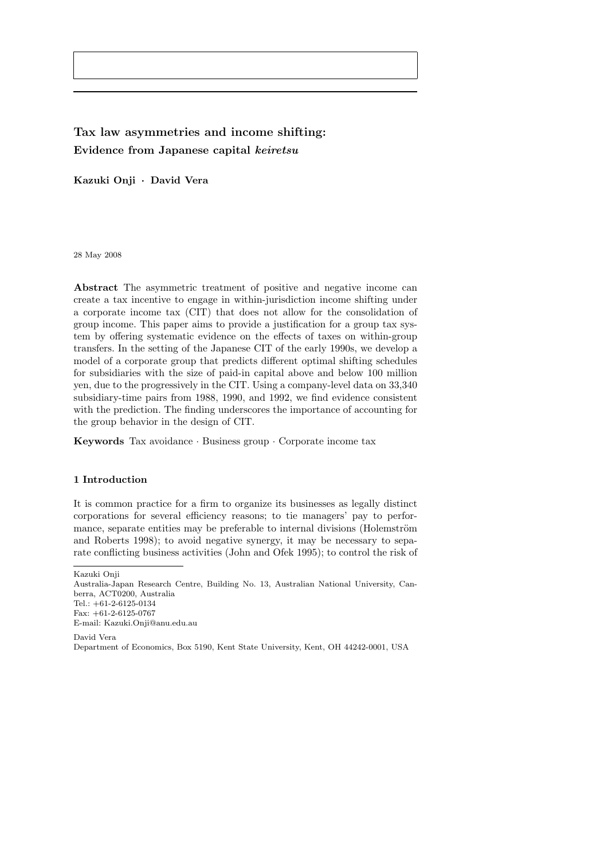# Tax law asymmetries and income shifting: Evidence from Japanese capital keiretsu

Kazuki Onji · David Vera

28 May 2008

Abstract The asymmetric treatment of positive and negative income can create a tax incentive to engage in within-jurisdiction income shifting under a corporate income tax (CIT) that does not allow for the consolidation of group income. This paper aims to provide a justification for a group tax system by offering systematic evidence on the effects of taxes on within-group transfers. In the setting of the Japanese CIT of the early 1990s, we develop a model of a corporate group that predicts different optimal shifting schedules for subsidiaries with the size of paid-in capital above and below 100 million yen, due to the progressively in the CIT. Using a company-level data on 33,340 subsidiary-time pairs from 1988, 1990, and 1992, we find evidence consistent with the prediction. The finding underscores the importance of accounting for the group behavior in the design of CIT.

Keywords Tax avoidance · Business group · Corporate income tax

# 1 Introduction

It is common practice for a firm to organize its businesses as legally distinct corporations for several efficiency reasons; to tie managers' pay to performance, separate entities may be preferable to internal divisions (Holemström and Roberts 1998); to avoid negative synergy, it may be necessary to separate conflicting business activities (John and Ofek 1995); to control the risk of

Kazuki Onji

Australia-Japan Research Centre, Building No. 13, Australian National University, Canberra, ACT0200, Australia Tel.: +61-2-6125-0134

Fax: +61-2-6125-0767 E-mail: Kazuki.Onji@anu.edu.au

David Vera

Department of Economics, Box 5190, Kent State University, Kent, OH 44242-0001, USA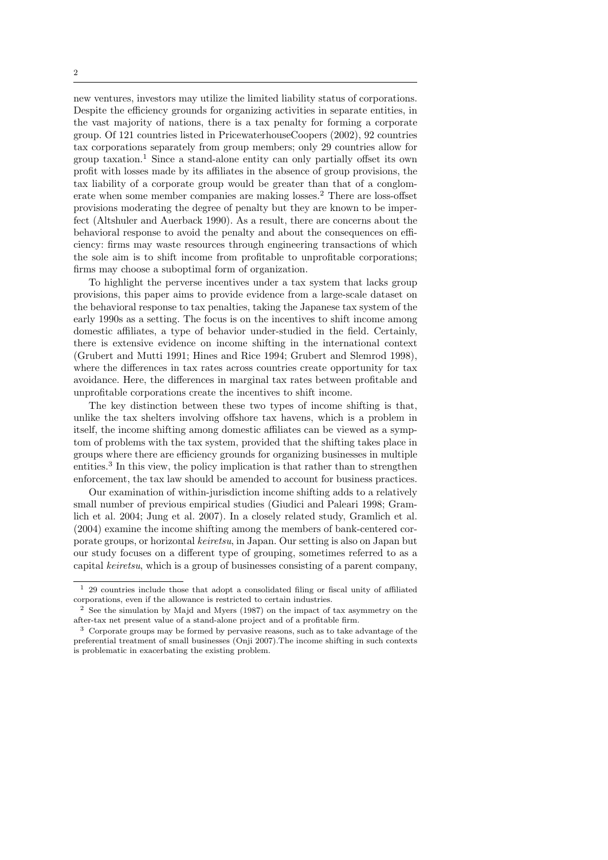new ventures, investors may utilize the limited liability status of corporations. Despite the efficiency grounds for organizing activities in separate entities, in the vast majority of nations, there is a tax penalty for forming a corporate group. Of 121 countries listed in PricewaterhouseCoopers (2002), 92 countries tax corporations separately from group members; only 29 countries allow for group taxation.<sup>1</sup> Since a stand-alone entity can only partially offset its own profit with losses made by its affiliates in the absence of group provisions, the tax liability of a corporate group would be greater than that of a conglomerate when some member companies are making losses.<sup>2</sup> There are loss-offset provisions moderating the degree of penalty but they are known to be imperfect (Altshuler and Auerback 1990). As a result, there are concerns about the behavioral response to avoid the penalty and about the consequences on efficiency: firms may waste resources through engineering transactions of which the sole aim is to shift income from profitable to unprofitable corporations; firms may choose a suboptimal form of organization.

To highlight the perverse incentives under a tax system that lacks group provisions, this paper aims to provide evidence from a large-scale dataset on the behavioral response to tax penalties, taking the Japanese tax system of the early 1990s as a setting. The focus is on the incentives to shift income among domestic affiliates, a type of behavior under-studied in the field. Certainly, there is extensive evidence on income shifting in the international context (Grubert and Mutti 1991; Hines and Rice 1994; Grubert and Slemrod 1998), where the differences in tax rates across countries create opportunity for tax avoidance. Here, the differences in marginal tax rates between profitable and unprofitable corporations create the incentives to shift income.

The key distinction between these two types of income shifting is that, unlike the tax shelters involving offshore tax havens, which is a problem in itself, the income shifting among domestic affiliates can be viewed as a symptom of problems with the tax system, provided that the shifting takes place in groups where there are efficiency grounds for organizing businesses in multiple entities.<sup>3</sup> In this view, the policy implication is that rather than to strengthen enforcement, the tax law should be amended to account for business practices.

Our examination of within-jurisdiction income shifting adds to a relatively small number of previous empirical studies (Giudici and Paleari 1998; Gramlich et al. 2004; Jung et al. 2007). In a closely related study, Gramlich et al. (2004) examine the income shifting among the members of bank-centered corporate groups, or horizontal keiretsu, in Japan. Our setting is also on Japan but our study focuses on a different type of grouping, sometimes referred to as a capital keiretsu, which is a group of businesses consisting of a parent company,

<sup>1</sup> 29 countries include those that adopt a consolidated filing or fiscal unity of affiliated corporations, even if the allowance is restricted to certain industries.

<sup>2</sup> See the simulation by Majd and Myers (1987) on the impact of tax asymmetry on the after-tax net present value of a stand-alone project and of a profitable firm.

<sup>3</sup> Corporate groups may be formed by pervasive reasons, such as to take advantage of the preferential treatment of small businesses (Onji 2007).The income shifting in such contexts is problematic in exacerbating the existing problem.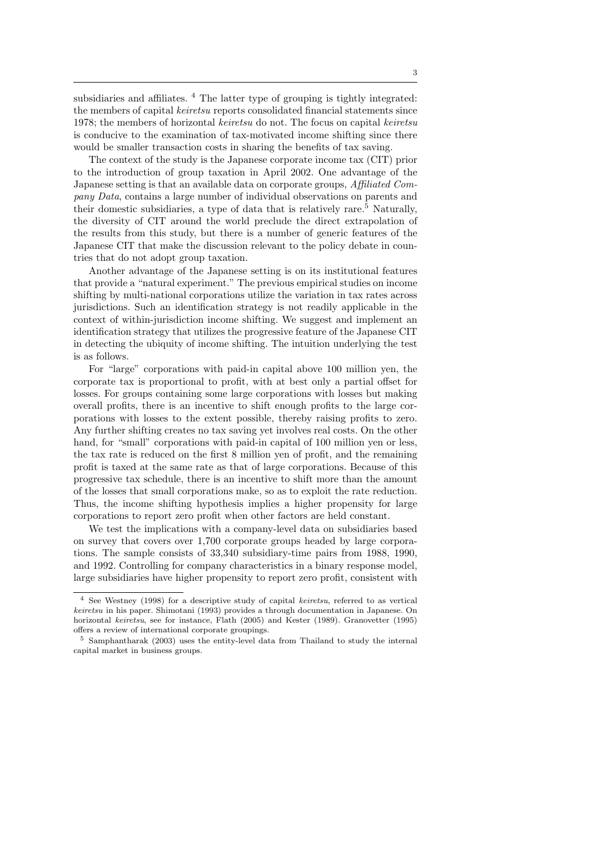subsidiaries and affiliates. <sup>4</sup> The latter type of grouping is tightly integrated: the members of capital keiretsu reports consolidated financial statements since 1978; the members of horizontal keiretsu do not. The focus on capital keiretsu is conducive to the examination of tax-motivated income shifting since there would be smaller transaction costs in sharing the benefits of tax saving.

The context of the study is the Japanese corporate income tax (CIT) prior to the introduction of group taxation in April 2002. One advantage of the Japanese setting is that an available data on corporate groups, Affiliated Company Data, contains a large number of individual observations on parents and their domestic subsidiaries, a type of data that is relatively rare.<sup>5</sup> Naturally, the diversity of CIT around the world preclude the direct extrapolation of the results from this study, but there is a number of generic features of the Japanese CIT that make the discussion relevant to the policy debate in countries that do not adopt group taxation.

Another advantage of the Japanese setting is on its institutional features that provide a "natural experiment." The previous empirical studies on income shifting by multi-national corporations utilize the variation in tax rates across jurisdictions. Such an identification strategy is not readily applicable in the context of within-jurisdiction income shifting. We suggest and implement an identification strategy that utilizes the progressive feature of the Japanese CIT in detecting the ubiquity of income shifting. The intuition underlying the test is as follows.

For "large" corporations with paid-in capital above 100 million yen, the corporate tax is proportional to profit, with at best only a partial offset for losses. For groups containing some large corporations with losses but making overall profits, there is an incentive to shift enough profits to the large corporations with losses to the extent possible, thereby raising profits to zero. Any further shifting creates no tax saving yet involves real costs. On the other hand, for "small" corporations with paid-in capital of 100 million yen or less, the tax rate is reduced on the first 8 million yen of profit, and the remaining profit is taxed at the same rate as that of large corporations. Because of this progressive tax schedule, there is an incentive to shift more than the amount of the losses that small corporations make, so as to exploit the rate reduction. Thus, the income shifting hypothesis implies a higher propensity for large corporations to report zero profit when other factors are held constant.

We test the implications with a company-level data on subsidiaries based on survey that covers over 1,700 corporate groups headed by large corporations. The sample consists of 33,340 subsidiary-time pairs from 1988, 1990, and 1992. Controlling for company characteristics in a binary response model, large subsidiaries have higher propensity to report zero profit, consistent with

<sup>4</sup> See Westney (1998) for a descriptive study of capital keiretsu, referred to as vertical keiretsu in his paper. Shimotani (1993) provides a through documentation in Japanese. On horizontal keiretsu, see for instance, Flath (2005) and Kester (1989). Granovetter (1995) offers a review of international corporate groupings.

<sup>5</sup> Samphantharak (2003) uses the entity-level data from Thailand to study the internal capital market in business groups.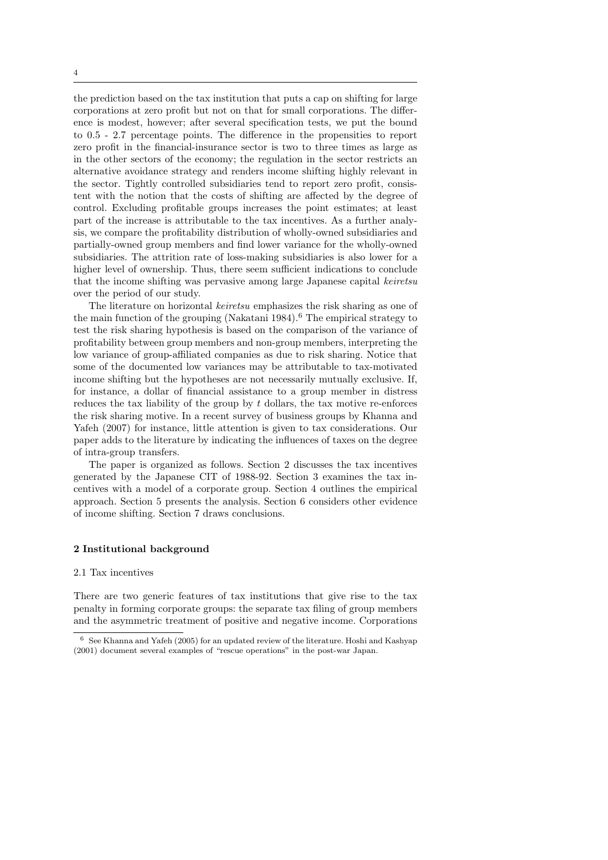the prediction based on the tax institution that puts a cap on shifting for large corporations at zero profit but not on that for small corporations. The difference is modest, however; after several specification tests, we put the bound to 0.5 - 2.7 percentage points. The difference in the propensities to report zero profit in the financial-insurance sector is two to three times as large as in the other sectors of the economy; the regulation in the sector restricts an alternative avoidance strategy and renders income shifting highly relevant in the sector. Tightly controlled subsidiaries tend to report zero profit, consistent with the notion that the costs of shifting are affected by the degree of control. Excluding profitable groups increases the point estimates; at least part of the increase is attributable to the tax incentives. As a further analysis, we compare the profitability distribution of wholly-owned subsidiaries and partially-owned group members and find lower variance for the wholly-owned subsidiaries. The attrition rate of loss-making subsidiaries is also lower for a higher level of ownership. Thus, there seem sufficient indications to conclude that the income shifting was pervasive among large Japanese capital keiretsu over the period of our study.

The literature on horizontal keiretsu emphasizes the risk sharing as one of the main function of the grouping (Nakatani 1984).<sup>6</sup> The empirical strategy to test the risk sharing hypothesis is based on the comparison of the variance of profitability between group members and non-group members, interpreting the low variance of group-affiliated companies as due to risk sharing. Notice that some of the documented low variances may be attributable to tax-motivated income shifting but the hypotheses are not necessarily mutually exclusive. If, for instance, a dollar of financial assistance to a group member in distress reduces the tax liability of the group by  $t$  dollars, the tax motive re-enforces the risk sharing motive. In a recent survey of business groups by Khanna and Yafeh (2007) for instance, little attention is given to tax considerations. Our paper adds to the literature by indicating the influences of taxes on the degree of intra-group transfers.

The paper is organized as follows. Section 2 discusses the tax incentives generated by the Japanese CIT of 1988-92. Section 3 examines the tax incentives with a model of a corporate group. Section 4 outlines the empirical approach. Section 5 presents the analysis. Section 6 considers other evidence of income shifting. Section 7 draws conclusions.

## 2 Institutional background

## 2.1 Tax incentives

There are two generic features of tax institutions that give rise to the tax penalty in forming corporate groups: the separate tax filing of group members and the asymmetric treatment of positive and negative income. Corporations

<sup>6</sup> See Khanna and Yafeh (2005) for an updated review of the literature. Hoshi and Kashyap (2001) document several examples of "rescue operations" in the post-war Japan.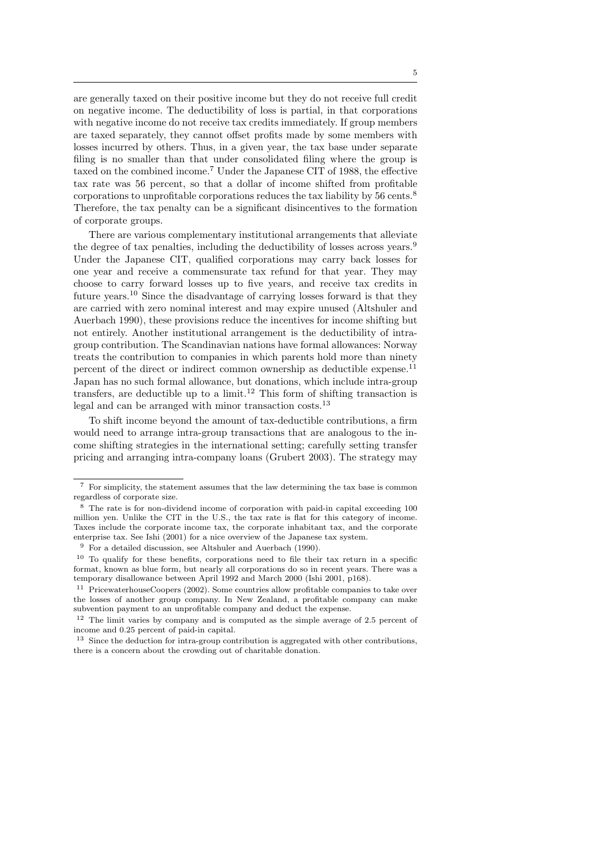are generally taxed on their positive income but they do not receive full credit on negative income. The deductibility of loss is partial, in that corporations with negative income do not receive tax credits immediately. If group members are taxed separately, they cannot offset profits made by some members with losses incurred by others. Thus, in a given year, the tax base under separate filing is no smaller than that under consolidated filing where the group is taxed on the combined income.<sup>7</sup> Under the Japanese CIT of 1988, the effective tax rate was 56 percent, so that a dollar of income shifted from profitable corporations to unprofitable corporations reduces the tax liability by 56 cents.<sup>8</sup> Therefore, the tax penalty can be a significant disincentives to the formation of corporate groups.

There are various complementary institutional arrangements that alleviate the degree of tax penalties, including the deductibility of losses across years.<sup>9</sup> Under the Japanese CIT, qualified corporations may carry back losses for one year and receive a commensurate tax refund for that year. They may choose to carry forward losses up to five years, and receive tax credits in future years.<sup>10</sup> Since the disadvantage of carrying losses forward is that they are carried with zero nominal interest and may expire unused (Altshuler and Auerbach 1990), these provisions reduce the incentives for income shifting but not entirely. Another institutional arrangement is the deductibility of intragroup contribution. The Scandinavian nations have formal allowances: Norway treats the contribution to companies in which parents hold more than ninety percent of the direct or indirect common ownership as deductible expense.<sup>11</sup> Japan has no such formal allowance, but donations, which include intra-group transfers, are deductible up to a limit.<sup>12</sup> This form of shifting transaction is legal and can be arranged with minor transaction costs.<sup>13</sup>

To shift income beyond the amount of tax-deductible contributions, a firm would need to arrange intra-group transactions that are analogous to the income shifting strategies in the international setting; carefully setting transfer pricing and arranging intra-company loans (Grubert 2003). The strategy may

<sup>7</sup> For simplicity, the statement assumes that the law determining the tax base is common regardless of corporate size.

<sup>8</sup> The rate is for non-dividend income of corporation with paid-in capital exceeding 100 million yen. Unlike the CIT in the U.S., the tax rate is flat for this category of income. Taxes include the corporate income tax, the corporate inhabitant tax, and the corporate enterprise tax. See Ishi (2001) for a nice overview of the Japanese tax system.

<sup>9</sup> For a detailed discussion, see Altshuler and Auerbach (1990).

<sup>10</sup> To qualify for these benefits, corporations need to file their tax return in a specific format, known as blue form, but nearly all corporations do so in recent years. There was a temporary disallowance between April 1992 and March 2000 (Ishi 2001, p168).

<sup>11</sup> PricewaterhouseCoopers (2002). Some countries allow profitable companies to take over the losses of another group company. In New Zealand, a profitable company can make subvention payment to an unprofitable company and deduct the expense.

<sup>12</sup> The limit varies by company and is computed as the simple average of 2.5 percent of income and 0.25 percent of paid-in capital.

 $^{13}\,$  Since the deduction for intra-group contribution is aggregated with other contributions, there is a concern about the crowding out of charitable donation.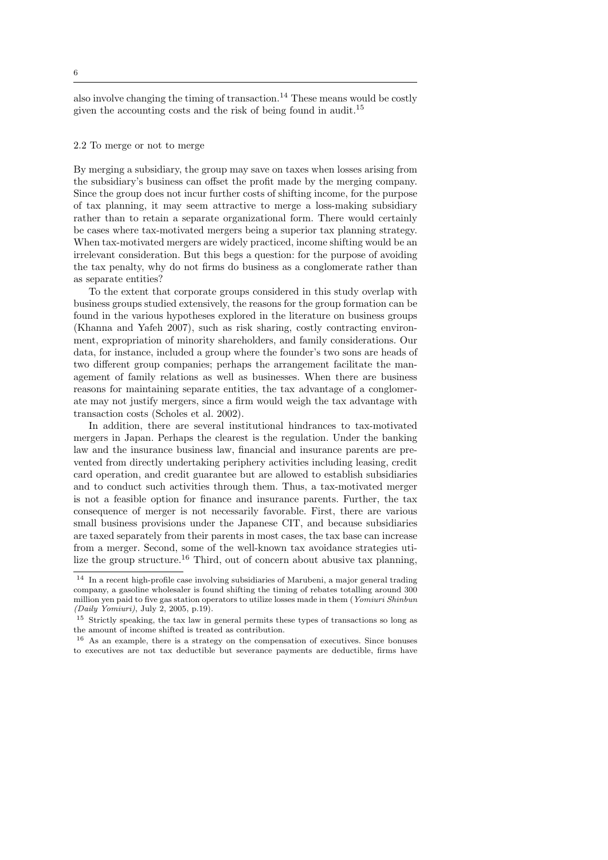also involve changing the timing of transaction.<sup>14</sup> These means would be costly given the accounting costs and the risk of being found in audit.<sup>15</sup>

## 2.2 To merge or not to merge

By merging a subsidiary, the group may save on taxes when losses arising from the subsidiary's business can offset the profit made by the merging company. Since the group does not incur further costs of shifting income, for the purpose of tax planning, it may seem attractive to merge a loss-making subsidiary rather than to retain a separate organizational form. There would certainly be cases where tax-motivated mergers being a superior tax planning strategy. When tax-motivated mergers are widely practiced, income shifting would be an irrelevant consideration. But this begs a question: for the purpose of avoiding the tax penalty, why do not firms do business as a conglomerate rather than as separate entities?

To the extent that corporate groups considered in this study overlap with business groups studied extensively, the reasons for the group formation can be found in the various hypotheses explored in the literature on business groups (Khanna and Yafeh 2007), such as risk sharing, costly contracting environment, expropriation of minority shareholders, and family considerations. Our data, for instance, included a group where the founder's two sons are heads of two different group companies; perhaps the arrangement facilitate the management of family relations as well as businesses. When there are business reasons for maintaining separate entities, the tax advantage of a conglomerate may not justify mergers, since a firm would weigh the tax advantage with transaction costs (Scholes et al. 2002).

In addition, there are several institutional hindrances to tax-motivated mergers in Japan. Perhaps the clearest is the regulation. Under the banking law and the insurance business law, financial and insurance parents are prevented from directly undertaking periphery activities including leasing, credit card operation, and credit guarantee but are allowed to establish subsidiaries and to conduct such activities through them. Thus, a tax-motivated merger is not a feasible option for finance and insurance parents. Further, the tax consequence of merger is not necessarily favorable. First, there are various small business provisions under the Japanese CIT, and because subsidiaries are taxed separately from their parents in most cases, the tax base can increase from a merger. Second, some of the well-known tax avoidance strategies utilize the group structure.<sup>16</sup> Third, out of concern about abusive tax planning,

 $^{14}\,$  In a recent high-profile case involving subsidiaries of Marubeni, a major general trading company, a gasoline wholesaler is found shifting the timing of rebates totalling around 300 million yen paid to five gas station operators to utilize losses made in them (Yomiuri Shinbun (Daily Yomiuri), July 2, 2005, p.19).

<sup>15</sup> Strictly speaking, the tax law in general permits these types of transactions so long as the amount of income shifted is treated as contribution.

<sup>16</sup> As an example, there is a strategy on the compensation of executives. Since bonuses to executives are not tax deductible but severance payments are deductible, firms have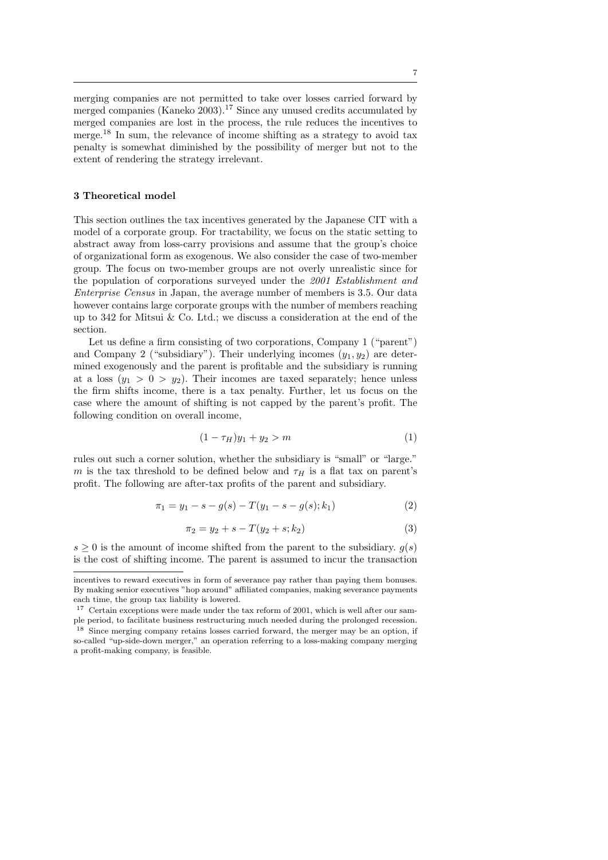merging companies are not permitted to take over losses carried forward by merged companies (Kaneko 2003).<sup>17</sup> Since any unused credits accumulated by merged companies are lost in the process, the rule reduces the incentives to merge.<sup>18</sup> In sum, the relevance of income shifting as a strategy to avoid tax penalty is somewhat diminished by the possibility of merger but not to the extent of rendering the strategy irrelevant.

# 3 Theoretical model

This section outlines the tax incentives generated by the Japanese CIT with a model of a corporate group. For tractability, we focus on the static setting to abstract away from loss-carry provisions and assume that the group's choice of organizational form as exogenous. We also consider the case of two-member group. The focus on two-member groups are not overly unrealistic since for the population of corporations surveyed under the 2001 Establishment and Enterprise Census in Japan, the average number of members is 3.5. Our data however contains large corporate groups with the number of members reaching up to 342 for Mitsui & Co. Ltd.; we discuss a consideration at the end of the section.

Let us define a firm consisting of two corporations, Company 1 ("parent") and Company 2 ("subsidiary"). Their underlying incomes  $(y_1, y_2)$  are determined exogenously and the parent is profitable and the subsidiary is running at a loss  $(y_1 > 0 > y_2)$ . Their incomes are taxed separately; hence unless the firm shifts income, there is a tax penalty. Further, let us focus on the case where the amount of shifting is not capped by the parent's profit. The following condition on overall income,

$$
(1 - \tau_H)y_1 + y_2 > m \tag{1}
$$

rules out such a corner solution, whether the subsidiary is "small" or "large." m is the tax threshold to be defined below and  $\tau_H$  is a flat tax on parent's profit. The following are after-tax profits of the parent and subsidiary.

$$
\pi_1 = y_1 - s - g(s) - T(y_1 - s - g(s); k_1)
$$
\n(2)

$$
\pi_2 = y_2 + s - T(y_2 + s; k_2) \tag{3}
$$

 $s \geq 0$  is the amount of income shifted from the parent to the subsidiary.  $g(s)$ is the cost of shifting income. The parent is assumed to incur the transaction

incentives to reward executives in form of severance pay rather than paying them bonuses. By making senior executives "hop around" affiliated companies, making severance payments each time, the group tax liability is lowered.

<sup>&</sup>lt;sup>17</sup> Certain exceptions were made under the tax reform of 2001, which is well after our sample period, to facilitate business restructuring much needed during the prolonged recession.

<sup>&</sup>lt;sup>18</sup> Since merging company retains losses carried forward, the merger may be an option, if so-called "up-side-down merger," an operation referring to a loss-making company merging a profit-making company, is feasible.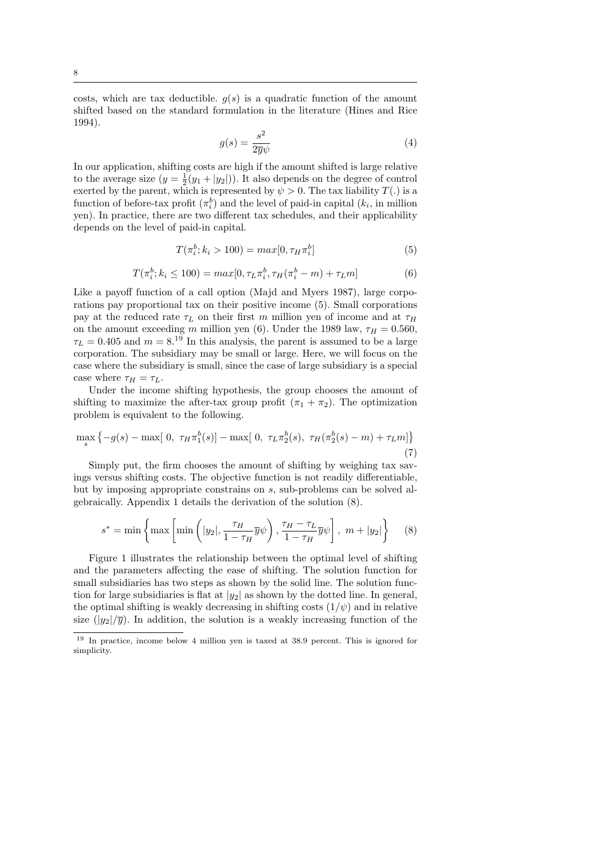costs, which are tax deductible.  $g(s)$  is a quadratic function of the amount shifted based on the standard formulation in the literature (Hines and Rice 1994).

$$
g(s) = \frac{s^2}{2\overline{y}\psi} \tag{4}
$$

In our application, shifting costs are high if the amount shifted is large relative to the average size  $(y = \frac{1}{2}(y_1 + |y_2|))$ . It also depends on the degree of control exerted by the parent, which is represented by  $\psi > 0$ . The tax liability  $T(.)$  is a function of before-tax profit  $(\pi_i^b)$  and the level of paid-in capital  $(k_i)$ , in million yen). In practice, there are two different tax schedules, and their applicability depends on the level of paid-in capital.

$$
T(\pi_i^b; k_i > 100) = max[0, \tau_H \pi_i^b]
$$
\n(5)

$$
T(\pi_i^b; k_i \le 100) = max[0, \tau_L \pi_i^b, \tau_H(\pi_i^b - m) + \tau_L m]
$$
 (6)

Like a payoff function of a call option (Majd and Myers 1987), large corporations pay proportional tax on their positive income (5). Small corporations pay at the reduced rate  $\tau_L$  on their first m million yen of income and at  $\tau_H$ on the amount exceeding m million yen (6). Under the 1989 law,  $\tau_H = 0.560$ ,  $\tau_L = 0.405$  and  $m = 8^{19}$  In this analysis, the parent is assumed to be a large corporation. The subsidiary may be small or large. Here, we will focus on the case where the subsidiary is small, since the case of large subsidiary is a special case where  $\tau_H = \tau_L$ .

Under the income shifting hypothesis, the group chooses the amount of shifting to maximize the after-tax group profit  $(\pi_1 + \pi_2)$ . The optimization problem is equivalent to the following.

$$
\max_{s} \left\{-g(s) - \max[0, \tau_H \pi_1^b(s)] - \max[0, \tau_L \pi_2^b(s), \tau_H(\pi_2^b(s) - m) + \tau_L m] \right\}
$$
\n(7)

Simply put, the firm chooses the amount of shifting by weighing tax savings versus shifting costs. The objective function is not readily differentiable, but by imposing appropriate constrains on s, sub-problems can be solved algebraically. Appendix 1 details the derivation of the solution (8).

$$
s^* = \min\left\{\max\left[\min\left(|y_2|, \frac{\tau_H}{1 - \tau_H} \overline{y}\psi\right), \frac{\tau_H - \tau_L}{1 - \tau_H} \overline{y}\psi\right], m + |y_2|\right\} \tag{8}
$$

Figure 1 illustrates the relationship between the optimal level of shifting and the parameters affecting the ease of shifting. The solution function for small subsidiaries has two steps as shown by the solid line. The solution function for large subsidiaries is flat at  $|y_2|$  as shown by the dotted line. In general, the optimal shifting is weakly decreasing in shifting costs  $(1/\psi)$  and in relative size  $(|y_2|/\overline{y})$ . In addition, the solution is a weakly increasing function of the

<sup>19</sup> In practice, income below 4 million yen is taxed at 38.9 percent. This is ignored for simplicity.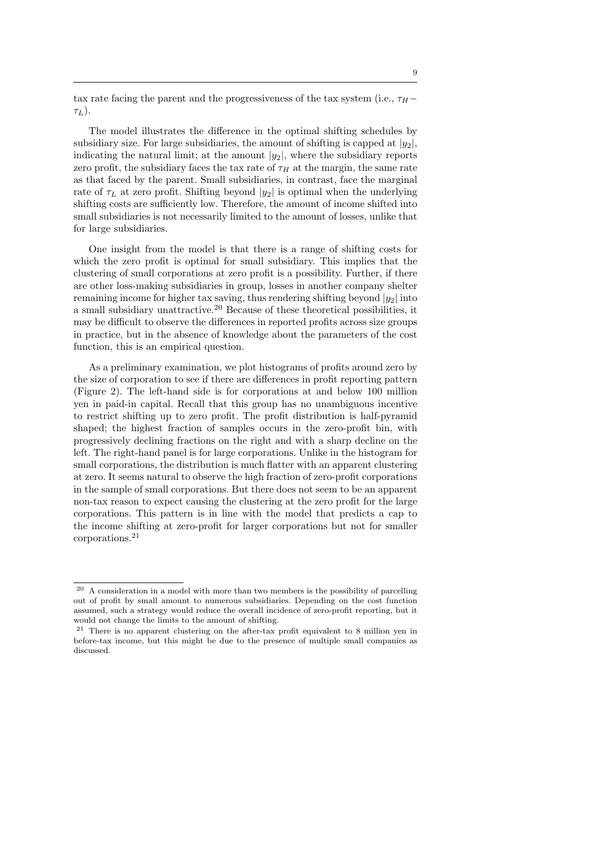tax rate facing the parent and the progressiveness of the tax system (i.e.,  $\tau_H$ −  $\tau_L$ ).

The model illustrates the difference in the optimal shifting schedules by subsidiary size. For large subsidiaries, the amount of shifting is capped at  $|y_2|$ , indicating the natural limit; at the amount  $|y_2|$ , where the subsidiary reports zero profit, the subsidiary faces the tax rate of  $\tau_H$  at the margin, the same rate as that faced by the parent. Small subsidiaries, in contrast, face the marginal rate of  $\tau_L$  at zero profit. Shifting beyond  $|y_2|$  is optimal when the underlying shifting costs are sufficiently low. Therefore, the amount of income shifted into small subsidiaries is not necessarily limited to the amount of losses, unlike that for large subsidiaries.

One insight from the model is that there is a range of shifting costs for which the zero profit is optimal for small subsidiary. This implies that the clustering of small corporations at zero profit is a possibility. Further, if there are other loss-making subsidiaries in group, losses in another company shelter remaining income for higher tax saving, thus rendering shifting beyond  $|y_2|$  into a small subsidiary unattractive.<sup>20</sup> Because of these theoretical possibilities, it may be difficult to observe the differences in reported profits across size groups in practice, but in the absence of knowledge about the parameters of the cost function, this is an empirical question.

As a preliminary examination, we plot histograms of profits around zero by the size of corporation to see if there are differences in profit reporting pattern (Figure 2). The left-hand side is for corporations at and below 100 million yen in paid-in capital. Recall that this group has no unambiguous incentive to restrict shifting up to zero profit. The profit distribution is half-pyramid shaped; the highest fraction of samples occurs in the zero-profit bin, with progressively declining fractions on the right and with a sharp decline on the left. The right-hand panel is for large corporations. Unlike in the histogram for small corporations, the distribution is much flatter with an apparent clustering at zero. It seems natural to observe the high fraction of zero-profit corporations in the sample of small corporations. But there does not seem to be an apparent non-tax reason to expect causing the clustering at the zero profit for the large corporations. This pattern is in line with the model that predicts a cap to the income shifting at zero-profit for larger corporations but not for smaller corporations.<sup>21</sup>

 $20$  A consideration in a model with more than two members is the possibility of parcelling out of profit by small amount to numerous subsidiaries. Depending on the cost function assumed, such a strategy would reduce the overall incidence of zero-profit reporting, but it would not change the limits to the amount of shifting.

<sup>21</sup> There is no apparent clustering on the after-tax profit equivalent to 8 million yen in before-tax income, but this might be due to the presence of multiple small companies as discussed.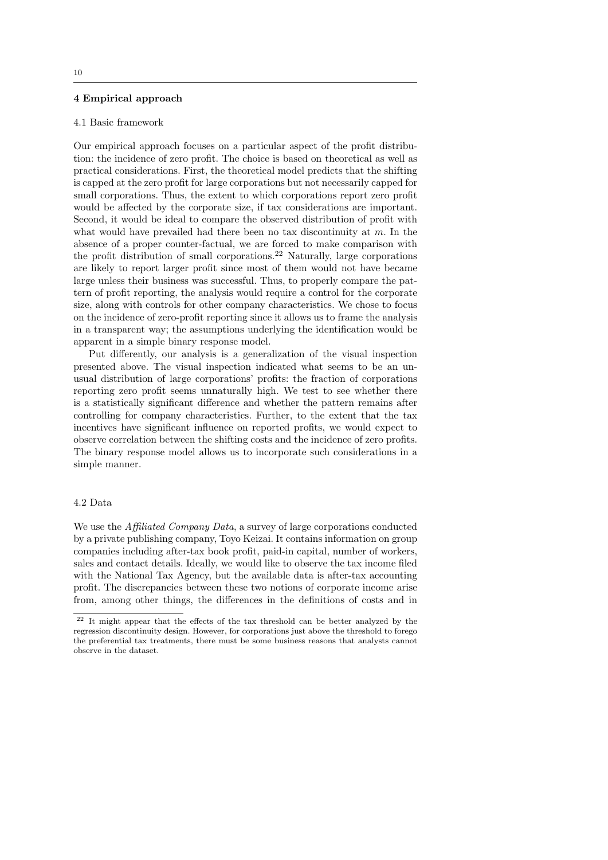# 4 Empirical approach

## 4.1 Basic framework

Our empirical approach focuses on a particular aspect of the profit distribution: the incidence of zero profit. The choice is based on theoretical as well as practical considerations. First, the theoretical model predicts that the shifting is capped at the zero profit for large corporations but not necessarily capped for small corporations. Thus, the extent to which corporations report zero profit would be affected by the corporate size, if tax considerations are important. Second, it would be ideal to compare the observed distribution of profit with what would have prevailed had there been no tax discontinuity at  $m$ . In the absence of a proper counter-factual, we are forced to make comparison with the profit distribution of small corporations.<sup>22</sup> Naturally, large corporations are likely to report larger profit since most of them would not have became large unless their business was successful. Thus, to properly compare the pattern of profit reporting, the analysis would require a control for the corporate size, along with controls for other company characteristics. We chose to focus on the incidence of zero-profit reporting since it allows us to frame the analysis in a transparent way; the assumptions underlying the identification would be apparent in a simple binary response model.

Put differently, our analysis is a generalization of the visual inspection presented above. The visual inspection indicated what seems to be an unusual distribution of large corporations' profits: the fraction of corporations reporting zero profit seems unnaturally high. We test to see whether there is a statistically significant difference and whether the pattern remains after controlling for company characteristics. Further, to the extent that the tax incentives have significant influence on reported profits, we would expect to observe correlation between the shifting costs and the incidence of zero profits. The binary response model allows us to incorporate such considerations in a simple manner.

## 4.2 Data

We use the *Affiliated Company Data*, a survey of large corporations conducted by a private publishing company, Toyo Keizai. It contains information on group companies including after-tax book profit, paid-in capital, number of workers, sales and contact details. Ideally, we would like to observe the tax income filed with the National Tax Agency, but the available data is after-tax accounting profit. The discrepancies between these two notions of corporate income arise from, among other things, the differences in the definitions of costs and in

<sup>22</sup> It might appear that the effects of the tax threshold can be better analyzed by the regression discontinuity design. However, for corporations just above the threshold to forego the preferential tax treatments, there must be some business reasons that analysts cannot observe in the dataset.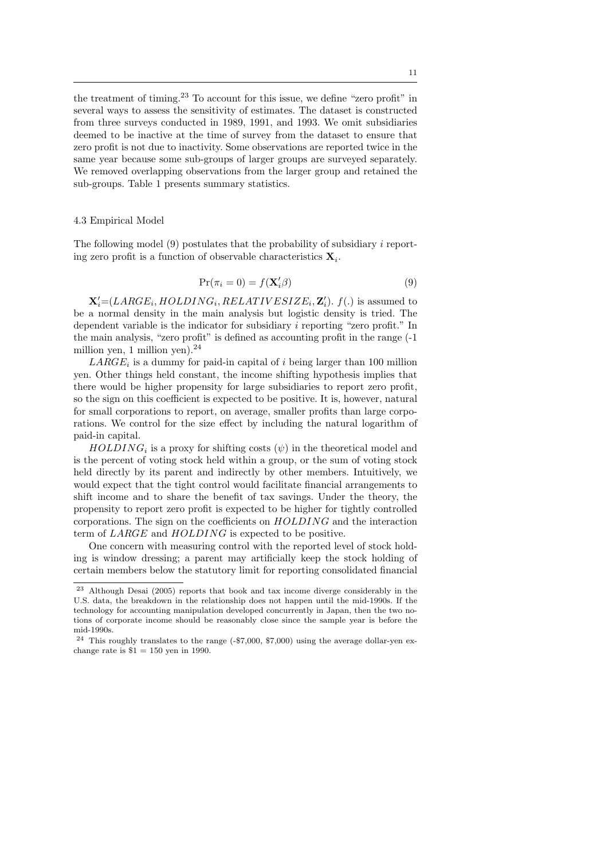the treatment of timing.<sup>23</sup> To account for this issue, we define "zero profit" in several ways to assess the sensitivity of estimates. The dataset is constructed from three surveys conducted in 1989, 1991, and 1993. We omit subsidiaries deemed to be inactive at the time of survey from the dataset to ensure that zero profit is not due to inactivity. Some observations are reported twice in the same year because some sub-groups of larger groups are surveyed separately. We removed overlapping observations from the larger group and retained the sub-groups. Table 1 presents summary statistics.

## 4.3 Empirical Model

The following model  $(9)$  postulates that the probability of subsidiary i reporting zero profit is a function of observable characteristics  $\mathbf{X}_i$ .

$$
\Pr(\pi_i = 0) = f(\mathbf{X}_i'\boldsymbol{\beta})\tag{9}
$$

 $\mathbf{X}'_i = (LARGE_i, HOLDING_i, RELATIVESIZE_i, \mathbf{Z}'_i)$ .  $f(.)$  is assumed to be a normal density in the main analysis but logistic density is tried. The dependent variable is the indicator for subsidiary i reporting "zero profit." In the main analysis, "zero profit" is defined as accounting profit in the range (-1 million yen, 1 million yen). $^{24}$ 

 $LARGE_i$  is a dummy for paid-in capital of i being larger than 100 million yen. Other things held constant, the income shifting hypothesis implies that there would be higher propensity for large subsidiaries to report zero profit, so the sign on this coefficient is expected to be positive. It is, however, natural for small corporations to report, on average, smaller profits than large corporations. We control for the size effect by including the natural logarithm of paid-in capital.

 $HOLDING_i$  is a proxy for shifting costs  $(\psi)$  in the theoretical model and is the percent of voting stock held within a group, or the sum of voting stock held directly by its parent and indirectly by other members. Intuitively, we would expect that the tight control would facilitate financial arrangements to shift income and to share the benefit of tax savings. Under the theory, the propensity to report zero profit is expected to be higher for tightly controlled corporations. The sign on the coefficients on HOLDING and the interaction term of LARGE and HOLDING is expected to be positive.

One concern with measuring control with the reported level of stock holding is window dressing; a parent may artificially keep the stock holding of certain members below the statutory limit for reporting consolidated financial

<sup>23</sup> Although Desai (2005) reports that book and tax income diverge considerably in the U.S. data, the breakdown in the relationship does not happen until the mid-1990s. If the technology for accounting manipulation developed concurrently in Japan, then the two notions of corporate income should be reasonably close since the sample year is before the mid-1990s.

 $24$  This roughly translates to the range (-\$7,000, \$7,000) using the average dollar-yen exchange rate is  $$1 = 150$  yen in 1990.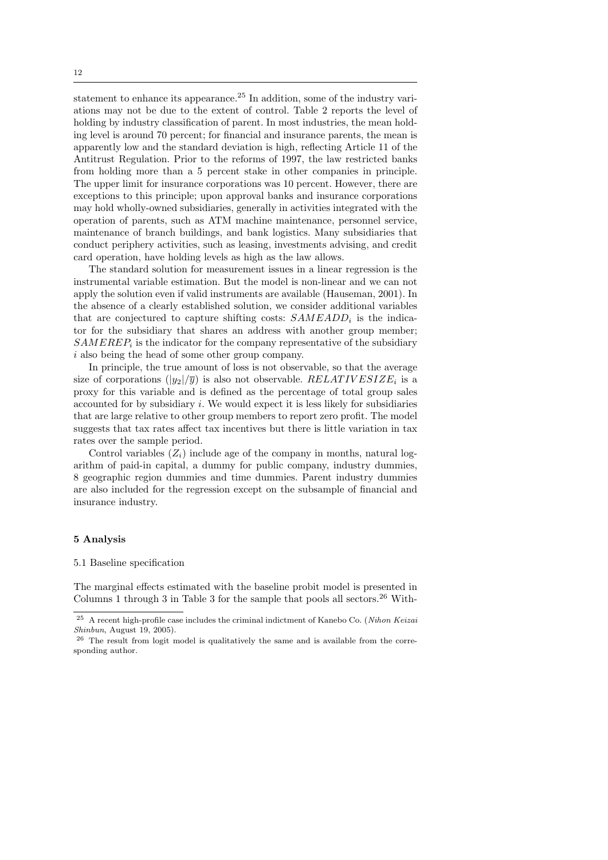statement to enhance its appearance.<sup>25</sup> In addition, some of the industry variations may not be due to the extent of control. Table 2 reports the level of holding by industry classification of parent. In most industries, the mean holding level is around 70 percent; for financial and insurance parents, the mean is apparently low and the standard deviation is high, reflecting Article 11 of the Antitrust Regulation. Prior to the reforms of 1997, the law restricted banks from holding more than a 5 percent stake in other companies in principle. The upper limit for insurance corporations was 10 percent. However, there are exceptions to this principle; upon approval banks and insurance corporations may hold wholly-owned subsidiaries, generally in activities integrated with the operation of parents, such as ATM machine maintenance, personnel service, maintenance of branch buildings, and bank logistics. Many subsidiaries that conduct periphery activities, such as leasing, investments advising, and credit card operation, have holding levels as high as the law allows.

The standard solution for measurement issues in a linear regression is the instrumental variable estimation. But the model is non-linear and we can not apply the solution even if valid instruments are available (Hauseman, 2001). In the absence of a clearly established solution, we consider additional variables that are conjectured to capture shifting costs:  $SAMEADD_i$  is the indicator for the subsidiary that shares an address with another group member;  $SAMEREF_i$  is the indicator for the company representative of the subsidiary i also being the head of some other group company.

In principle, the true amount of loss is not observable, so that the average size of corporations  $(|y_2|/\overline{y})$  is also not observable.  $RELATIVESIZE_i$  is a proxy for this variable and is defined as the percentage of total group sales accounted for by subsidiary  $i$ . We would expect it is less likely for subsidiaries that are large relative to other group members to report zero profit. The model suggests that tax rates affect tax incentives but there is little variation in tax rates over the sample period.

Control variables  $(Z_i)$  include age of the company in months, natural logarithm of paid-in capital, a dummy for public company, industry dummies, 8 geographic region dummies and time dummies. Parent industry dummies are also included for the regression except on the subsample of financial and insurance industry.

## 5 Analysis

## 5.1 Baseline specification

The marginal effects estimated with the baseline probit model is presented in Columns 1 through 3 in Table 3 for the sample that pools all sectors.<sup>26</sup> With-

<sup>&</sup>lt;sup>25</sup> A recent high-profile case includes the criminal indictment of Kanebo Co. (Nihon Keizai Shinbun, August 19, 2005).

<sup>26</sup> The result from logit model is qualitatively the same and is available from the corresponding author.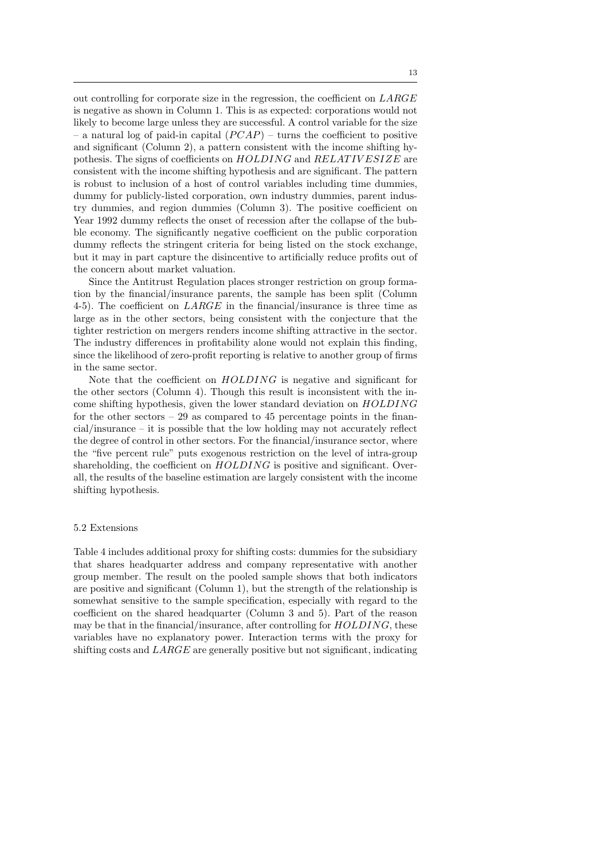out controlling for corporate size in the regression, the coefficient on LARGE is negative as shown in Column 1. This is as expected: corporations would not likely to become large unless they are successful. A control variable for the size – a natural log of paid-in capital  $(PCAP)$  – turns the coefficient to positive and significant (Column 2), a pattern consistent with the income shifting hypothesis. The signs of coefficients on  $HOLDING$  and  $RELATIVESIZE$  are consistent with the income shifting hypothesis and are significant. The pattern is robust to inclusion of a host of control variables including time dummies, dummy for publicly-listed corporation, own industry dummies, parent industry dummies, and region dummies (Column 3). The positive coefficient on Year 1992 dummy reflects the onset of recession after the collapse of the bubble economy. The significantly negative coefficient on the public corporation dummy reflects the stringent criteria for being listed on the stock exchange, but it may in part capture the disincentive to artificially reduce profits out of the concern about market valuation.

Since the Antitrust Regulation places stronger restriction on group formation by the financial/insurance parents, the sample has been split (Column 4-5). The coefficient on LARGE in the financial/insurance is three time as large as in the other sectors, being consistent with the conjecture that the tighter restriction on mergers renders income shifting attractive in the sector. The industry differences in profitability alone would not explain this finding, since the likelihood of zero-profit reporting is relative to another group of firms in the same sector.

Note that the coefficient on  $HOLDING$  is negative and significant for the other sectors (Column 4). Though this result is inconsistent with the income shifting hypothesis, given the lower standard deviation on HOLDING for the other sectors – 29 as compared to 45 percentage points in the financial/insurance – it is possible that the low holding may not accurately reflect the degree of control in other sectors. For the financial/insurance sector, where the "five percent rule" puts exogenous restriction on the level of intra-group shareholding, the coefficient on  $HOLDING$  is positive and significant. Overall, the results of the baseline estimation are largely consistent with the income shifting hypothesis.

#### 5.2 Extensions

Table 4 includes additional proxy for shifting costs: dummies for the subsidiary that shares headquarter address and company representative with another group member. The result on the pooled sample shows that both indicators are positive and significant (Column 1), but the strength of the relationship is somewhat sensitive to the sample specification, especially with regard to the coefficient on the shared headquarter (Column 3 and 5). Part of the reason may be that in the financial/insurance, after controlling for  $HOLDING$ , these variables have no explanatory power. Interaction terms with the proxy for shifting costs and LARGE are generally positive but not significant, indicating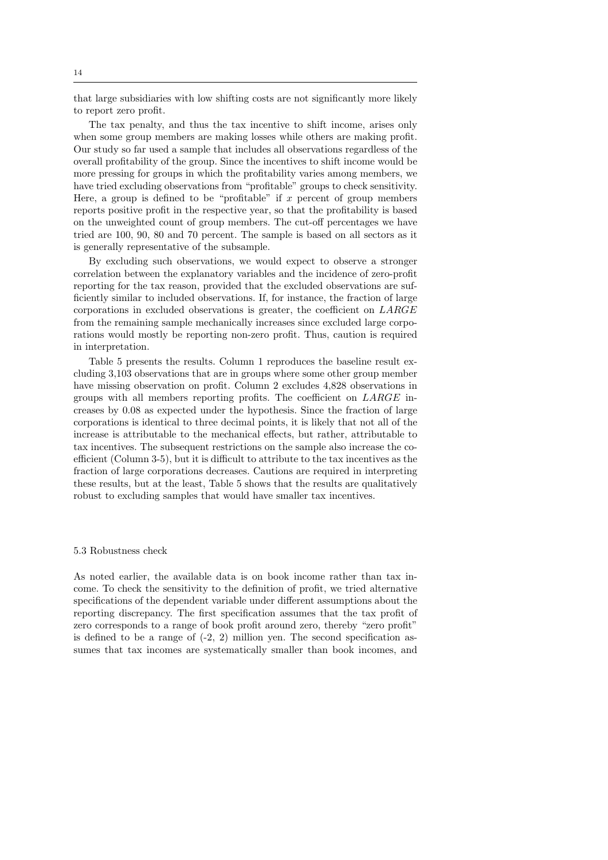that large subsidiaries with low shifting costs are not significantly more likely to report zero profit.

The tax penalty, and thus the tax incentive to shift income, arises only when some group members are making losses while others are making profit. Our study so far used a sample that includes all observations regardless of the overall profitability of the group. Since the incentives to shift income would be more pressing for groups in which the profitability varies among members, we have tried excluding observations from "profitable" groups to check sensitivity. Here, a group is defined to be "profitable" if x percent of group members reports positive profit in the respective year, so that the profitability is based on the unweighted count of group members. The cut-off percentages we have tried are 100, 90, 80 and 70 percent. The sample is based on all sectors as it is generally representative of the subsample.

By excluding such observations, we would expect to observe a stronger correlation between the explanatory variables and the incidence of zero-profit reporting for the tax reason, provided that the excluded observations are sufficiently similar to included observations. If, for instance, the fraction of large corporations in excluded observations is greater, the coefficient on LARGE from the remaining sample mechanically increases since excluded large corporations would mostly be reporting non-zero profit. Thus, caution is required in interpretation.

Table 5 presents the results. Column 1 reproduces the baseline result excluding 3,103 observations that are in groups where some other group member have missing observation on profit. Column 2 excludes 4,828 observations in groups with all members reporting profits. The coefficient on LARGE increases by 0.08 as expected under the hypothesis. Since the fraction of large corporations is identical to three decimal points, it is likely that not all of the increase is attributable to the mechanical effects, but rather, attributable to tax incentives. The subsequent restrictions on the sample also increase the coefficient (Column 3-5), but it is difficult to attribute to the tax incentives as the fraction of large corporations decreases. Cautions are required in interpreting these results, but at the least, Table 5 shows that the results are qualitatively robust to excluding samples that would have smaller tax incentives.

## 5.3 Robustness check

As noted earlier, the available data is on book income rather than tax income. To check the sensitivity to the definition of profit, we tried alternative specifications of the dependent variable under different assumptions about the reporting discrepancy. The first specification assumes that the tax profit of zero corresponds to a range of book profit around zero, thereby "zero profit" is defined to be a range of  $(-2, 2)$  million yen. The second specification assumes that tax incomes are systematically smaller than book incomes, and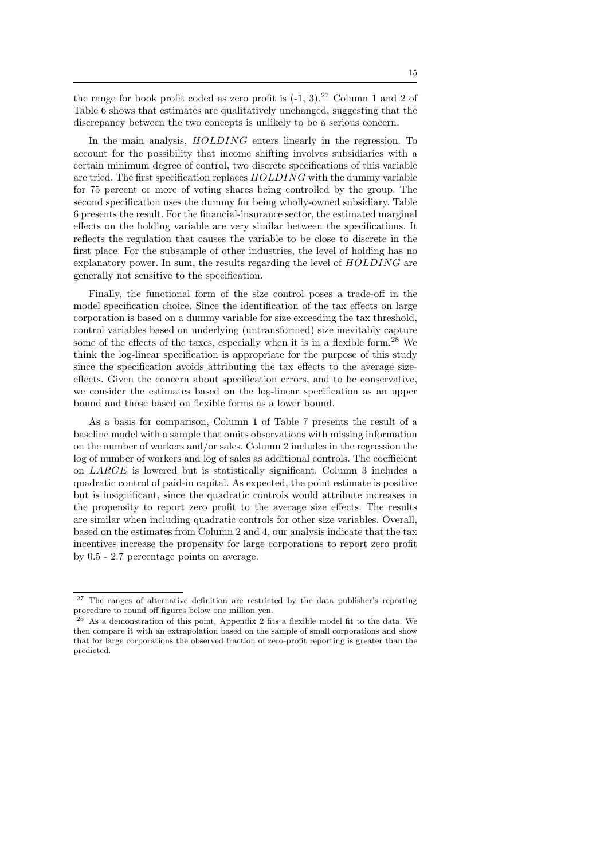the range for book profit coded as zero profit is  $(-1, 3)$ .<sup>27</sup> Column 1 and 2 of Table 6 shows that estimates are qualitatively unchanged, suggesting that the discrepancy between the two concepts is unlikely to be a serious concern.

In the main analysis,  $HOLDING$  enters linearly in the regression. To account for the possibility that income shifting involves subsidiaries with a certain minimum degree of control, two discrete specifications of this variable are tried. The first specification replaces HOLDING with the dummy variable for 75 percent or more of voting shares being controlled by the group. The second specification uses the dummy for being wholly-owned subsidiary. Table 6 presents the result. For the financial-insurance sector, the estimated marginal effects on the holding variable are very similar between the specifications. It reflects the regulation that causes the variable to be close to discrete in the first place. For the subsample of other industries, the level of holding has no explanatory power. In sum, the results regarding the level of HOLDING are generally not sensitive to the specification.

Finally, the functional form of the size control poses a trade-off in the model specification choice. Since the identification of the tax effects on large corporation is based on a dummy variable for size exceeding the tax threshold, control variables based on underlying (untransformed) size inevitably capture some of the effects of the taxes, especially when it is in a flexible form.<sup>28</sup> We think the log-linear specification is appropriate for the purpose of this study since the specification avoids attributing the tax effects to the average sizeeffects. Given the concern about specification errors, and to be conservative, we consider the estimates based on the log-linear specification as an upper bound and those based on flexible forms as a lower bound.

As a basis for comparison, Column 1 of Table 7 presents the result of a baseline model with a sample that omits observations with missing information on the number of workers and/or sales. Column 2 includes in the regression the log of number of workers and log of sales as additional controls. The coefficient on LARGE is lowered but is statistically significant. Column 3 includes a quadratic control of paid-in capital. As expected, the point estimate is positive but is insignificant, since the quadratic controls would attribute increases in the propensity to report zero profit to the average size effects. The results are similar when including quadratic controls for other size variables. Overall, based on the estimates from Column 2 and 4, our analysis indicate that the tax incentives increase the propensity for large corporations to report zero profit by 0.5 - 2.7 percentage points on average.

<sup>27</sup> The ranges of alternative definition are restricted by the data publisher's reporting procedure to round off figures below one million yen.

<sup>&</sup>lt;sup>28</sup> As a demonstration of this point, Appendix 2 fits a flexible model fit to the data. We then compare it with an extrapolation based on the sample of small corporations and show that for large corporations the observed fraction of zero-profit reporting is greater than the predicted.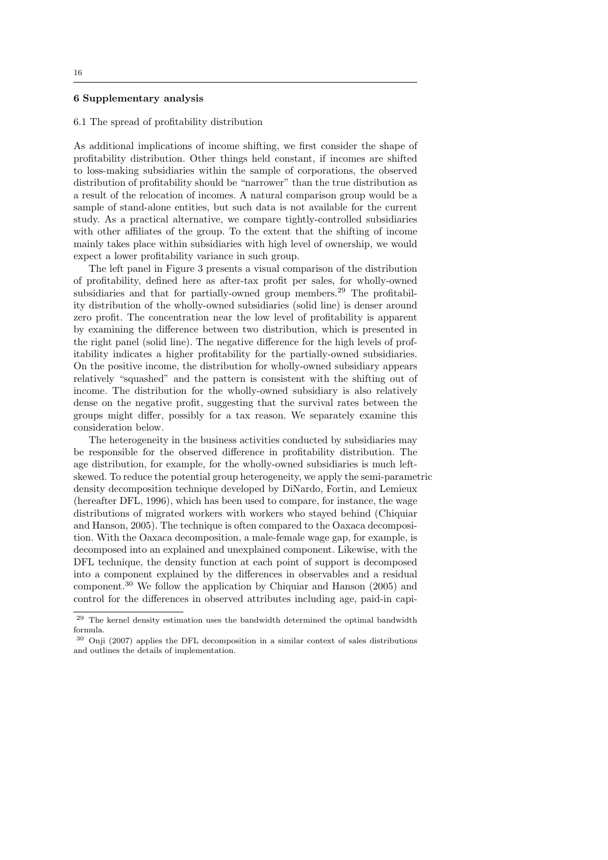## 6 Supplementary analysis

#### 6.1 The spread of profitability distribution

As additional implications of income shifting, we first consider the shape of profitability distribution. Other things held constant, if incomes are shifted to loss-making subsidiaries within the sample of corporations, the observed distribution of profitability should be "narrower" than the true distribution as a result of the relocation of incomes. A natural comparison group would be a sample of stand-alone entities, but such data is not available for the current study. As a practical alternative, we compare tightly-controlled subsidiaries with other affiliates of the group. To the extent that the shifting of income mainly takes place within subsidiaries with high level of ownership, we would expect a lower profitability variance in such group.

The left panel in Figure 3 presents a visual comparison of the distribution of profitability, defined here as after-tax profit per sales, for wholly-owned subsidiaries and that for partially-owned group members.<sup>29</sup> The profitability distribution of the wholly-owned subsidiaries (solid line) is denser around zero profit. The concentration near the low level of profitability is apparent by examining the difference between two distribution, which is presented in the right panel (solid line). The negative difference for the high levels of profitability indicates a higher profitability for the partially-owned subsidiaries. On the positive income, the distribution for wholly-owned subsidiary appears relatively "squashed" and the pattern is consistent with the shifting out of income. The distribution for the wholly-owned subsidiary is also relatively dense on the negative profit, suggesting that the survival rates between the groups might differ, possibly for a tax reason. We separately examine this consideration below.

The heterogeneity in the business activities conducted by subsidiaries may be responsible for the observed difference in profitability distribution. The age distribution, for example, for the wholly-owned subsidiaries is much leftskewed. To reduce the potential group heterogeneity, we apply the semi-parametric density decomposition technique developed by DiNardo, Fortin, and Lemieux (hereafter DFL, 1996), which has been used to compare, for instance, the wage distributions of migrated workers with workers who stayed behind (Chiquiar and Hanson, 2005). The technique is often compared to the Oaxaca decomposition. With the Oaxaca decomposition, a male-female wage gap, for example, is decomposed into an explained and unexplained component. Likewise, with the DFL technique, the density function at each point of support is decomposed into a component explained by the differences in observables and a residual component.<sup>30</sup> We follow the application by Chiquiar and Hanson (2005) and control for the differences in observed attributes including age, paid-in capi-

<sup>&</sup>lt;sup>29</sup> The kernel density estimation uses the bandwidth determined the optimal bandwidth formula.

<sup>30</sup> Onji (2007) applies the DFL decomposition in a similar context of sales distributions and outlines the details of implementation.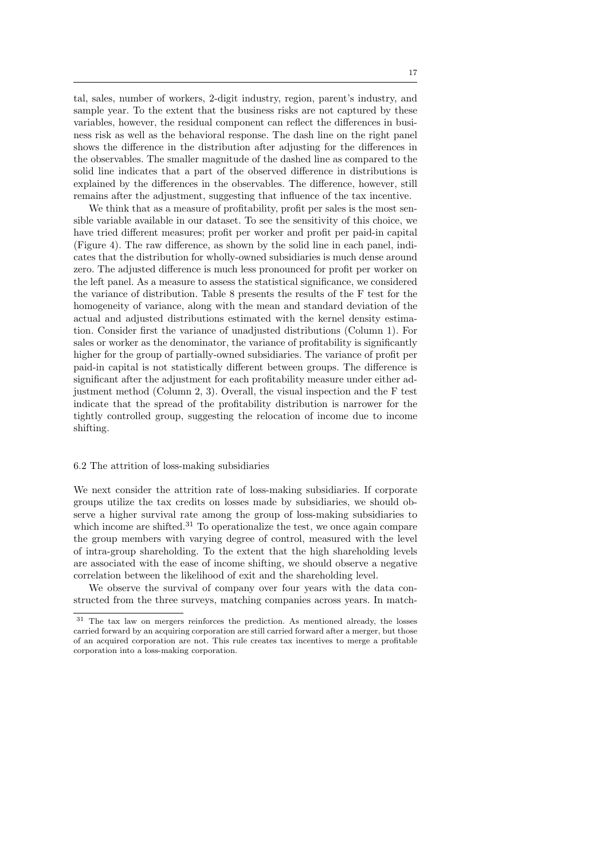tal, sales, number of workers, 2-digit industry, region, parent's industry, and sample year. To the extent that the business risks are not captured by these variables, however, the residual component can reflect the differences in business risk as well as the behavioral response. The dash line on the right panel shows the difference in the distribution after adjusting for the differences in the observables. The smaller magnitude of the dashed line as compared to the solid line indicates that a part of the observed difference in distributions is explained by the differences in the observables. The difference, however, still remains after the adjustment, suggesting that influence of the tax incentive.

We think that as a measure of profitability, profit per sales is the most sensible variable available in our dataset. To see the sensitivity of this choice, we have tried different measures; profit per worker and profit per paid-in capital (Figure 4). The raw difference, as shown by the solid line in each panel, indicates that the distribution for wholly-owned subsidiaries is much dense around zero. The adjusted difference is much less pronounced for profit per worker on the left panel. As a measure to assess the statistical significance, we considered the variance of distribution. Table 8 presents the results of the F test for the homogeneity of variance, along with the mean and standard deviation of the actual and adjusted distributions estimated with the kernel density estimation. Consider first the variance of unadjusted distributions (Column 1). For sales or worker as the denominator, the variance of profitability is significantly higher for the group of partially-owned subsidiaries. The variance of profit per paid-in capital is not statistically different between groups. The difference is significant after the adjustment for each profitability measure under either adjustment method (Column 2, 3). Overall, the visual inspection and the F test indicate that the spread of the profitability distribution is narrower for the tightly controlled group, suggesting the relocation of income due to income shifting.

## 6.2 The attrition of loss-making subsidiaries

We next consider the attrition rate of loss-making subsidiaries. If corporate groups utilize the tax credits on losses made by subsidiaries, we should observe a higher survival rate among the group of loss-making subsidiaries to which income are shifted.<sup>31</sup> To operationalize the test, we once again compare the group members with varying degree of control, measured with the level of intra-group shareholding. To the extent that the high shareholding levels are associated with the ease of income shifting, we should observe a negative correlation between the likelihood of exit and the shareholding level.

We observe the survival of company over four years with the data constructed from the three surveys, matching companies across years. In match-

<sup>31</sup> The tax law on mergers reinforces the prediction. As mentioned already, the losses carried forward by an acquiring corporation are still carried forward after a merger, but those of an acquired corporation are not. This rule creates tax incentives to merge a profitable corporation into a loss-making corporation.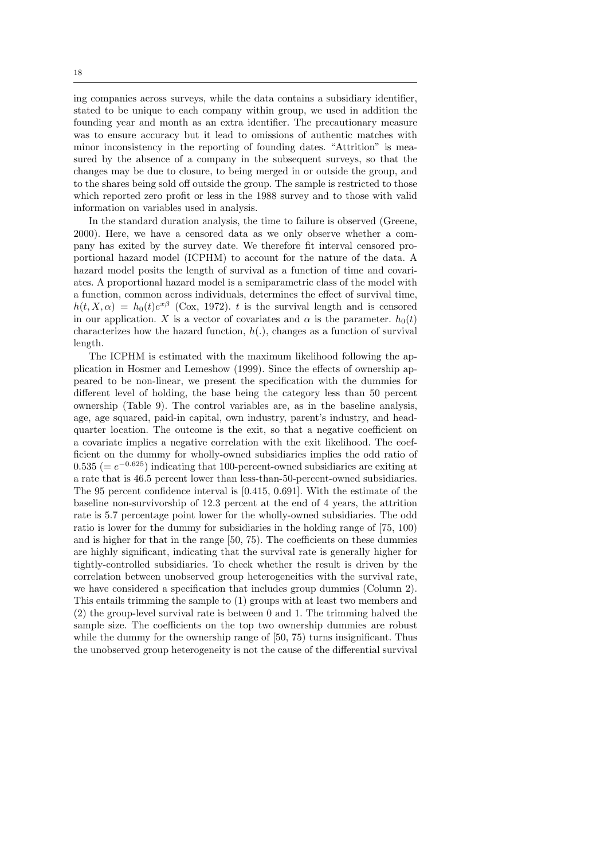ing companies across surveys, while the data contains a subsidiary identifier, stated to be unique to each company within group, we used in addition the founding year and month as an extra identifier. The precautionary measure was to ensure accuracy but it lead to omissions of authentic matches with minor inconsistency in the reporting of founding dates. "Attrition" is measured by the absence of a company in the subsequent surveys, so that the changes may be due to closure, to being merged in or outside the group, and to the shares being sold off outside the group. The sample is restricted to those which reported zero profit or less in the 1988 survey and to those with valid information on variables used in analysis.

In the standard duration analysis, the time to failure is observed (Greene, 2000). Here, we have a censored data as we only observe whether a company has exited by the survey date. We therefore fit interval censored proportional hazard model (ICPHM) to account for the nature of the data. A hazard model posits the length of survival as a function of time and covariates. A proportional hazard model is a semiparametric class of the model with a function, common across individuals, determines the effect of survival time,  $h(t, X, \alpha) = h_0(t)e^{x\beta}$  (Cox, 1972). t is the survival length and is censored in our application. X is a vector of covariates and  $\alpha$  is the parameter.  $h_0(t)$ characterizes how the hazard function,  $h(.)$ , changes as a function of survival length.

The ICPHM is estimated with the maximum likelihood following the application in Hosmer and Lemeshow (1999). Since the effects of ownership appeared to be non-linear, we present the specification with the dummies for different level of holding, the base being the category less than 50 percent ownership (Table 9). The control variables are, as in the baseline analysis, age, age squared, paid-in capital, own industry, parent's industry, and headquarter location. The outcome is the exit, so that a negative coefficient on a covariate implies a negative correlation with the exit likelihood. The coefficient on the dummy for wholly-owned subsidiaries implies the odd ratio of  $(0.535)$  (=  $e^{-0.625}$ ) indicating that 100-percent-owned subsidiaries are exiting at a rate that is 46.5 percent lower than less-than-50-percent-owned subsidiaries. The 95 percent confidence interval is [0.415, 0.691]. With the estimate of the baseline non-survivorship of 12.3 percent at the end of 4 years, the attrition rate is 5.7 percentage point lower for the wholly-owned subsidiaries. The odd ratio is lower for the dummy for subsidiaries in the holding range of [75, 100) and is higher for that in the range [50, 75). The coefficients on these dummies are highly significant, indicating that the survival rate is generally higher for tightly-controlled subsidiaries. To check whether the result is driven by the correlation between unobserved group heterogeneities with the survival rate, we have considered a specification that includes group dummies (Column 2). This entails trimming the sample to (1) groups with at least two members and (2) the group-level survival rate is between 0 and 1. The trimming halved the sample size. The coefficients on the top two ownership dummies are robust while the dummy for the ownership range of [50, 75) turns insignificant. Thus the unobserved group heterogeneity is not the cause of the differential survival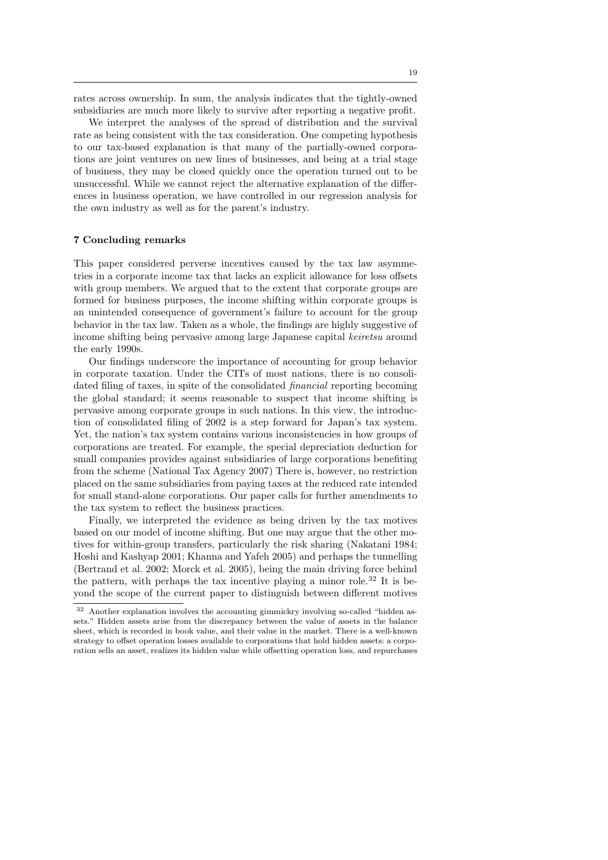rates across ownership. In sum, the analysis indicates that the tightly-owned subsidiaries are much more likely to survive after reporting a negative profit.

We interpret the analyses of the spread of distribution and the survival rate as being consistent with the tax consideration. One competing hypothesis to our tax-based explanation is that many of the partially-owned corporations are joint ventures on new lines of businesses, and being at a trial stage of business, they may be closed quickly once the operation turned out to be unsuccessful. While we cannot reject the alternative explanation of the differences in business operation, we have controlled in our regression analysis for the own industry as well as for the parent's industry.

## 7 Concluding remarks

This paper considered perverse incentives caused by the tax law asymmetries in a corporate income tax that lacks an explicit allowance for loss offsets with group members. We argued that to the extent that corporate groups are formed for business purposes, the income shifting within corporate groups is an unintended consequence of government's failure to account for the group behavior in the tax law. Taken as a whole, the findings are highly suggestive of income shifting being pervasive among large Japanese capital keiretsu around the early 1990s.

Our findings underscore the importance of accounting for group behavior in corporate taxation. Under the CITs of most nations, there is no consolidated filing of taxes, in spite of the consolidated financial reporting becoming the global standard; it seems reasonable to suspect that income shifting is pervasive among corporate groups in such nations. In this view, the introduction of consolidated filing of 2002 is a step forward for Japan's tax system. Yet, the nation's tax system contains various inconsistencies in how groups of corporations are treated. For example, the special depreciation deduction for small companies provides against subsidiaries of large corporations benefiting from the scheme (National Tax Agency 2007) There is, however, no restriction placed on the same subsidiaries from paying taxes at the reduced rate intended for small stand-alone corporations. Our paper calls for further amendments to the tax system to reflect the business practices.

Finally, we interpreted the evidence as being driven by the tax motives based on our model of income shifting. But one may argue that the other motives for within-group transfers, particularly the risk sharing (Nakatani 1984; Hoshi and Kashyap 2001; Khanna and Yafeh 2005) and perhaps the tunnelling (Bertrand et al. 2002; Morck et al. 2005), being the main driving force behind the pattern, with perhaps the tax incentive playing a minor role.<sup>32</sup> It is beyond the scope of the current paper to distinguish between different motives

<sup>32</sup> Another explanation involves the accounting gimmickry involving so-called "hidden assets." Hidden assets arise from the discrepancy between the value of assets in the balance sheet, which is recorded in book value, and their value in the market. There is a well-known strategy to offset operation losses available to corporations that hold hidden assets: a corporation sells an asset, realizes its hidden value while offsetting operation loss, and repurchases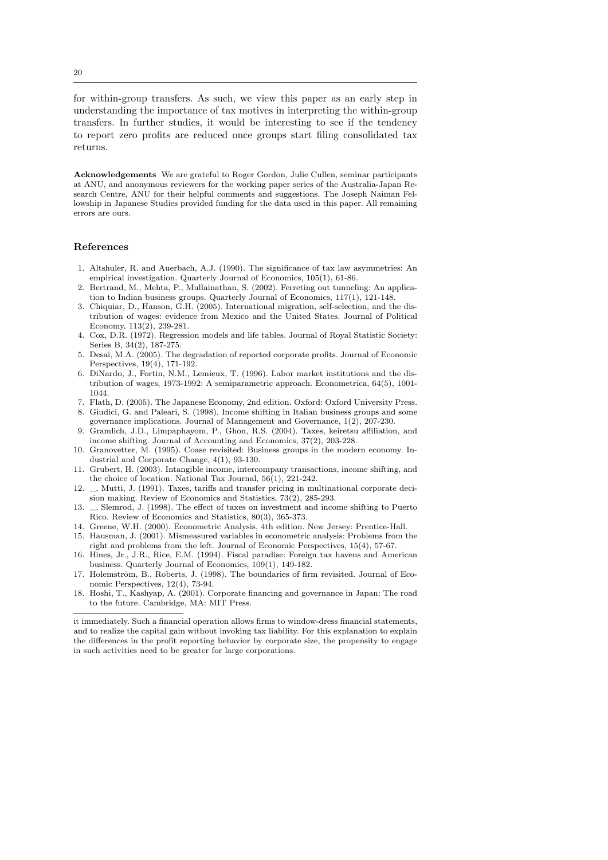for within-group transfers. As such, we view this paper as an early step in understanding the importance of tax motives in interpreting the within-group transfers. In further studies, it would be interesting to see if the tendency to report zero profits are reduced once groups start filing consolidated tax returns.

Acknowledgements We are grateful to Roger Gordon, Julie Cullen, seminar participants at ANU, and anonymous reviewers for the working paper series of the Australia-Japan Research Centre, ANU for their helpful comments and suggestions. The Joseph Naiman Fellowship in Japanese Studies provided funding for the data used in this paper. All remaining errors are ours.

## References

- 1. Altshuler, R. and Auerbach, A.J. (1990). The significance of tax law asymmetries: An empirical investigation. Quarterly Journal of Economics, 105(1), 61-86.
- 2. Bertrand, M., Mehta, P., Mullainathan, S. (2002). Ferreting out tunneling: An application to Indian business groups. Quarterly Journal of Economics, 117(1), 121-148.
- 3. Chiquiar, D., Hanson, G.H. (2005). International migration, self-selection, and the distribution of wages: evidence from Mexico and the United States. Journal of Political Economy, 113(2), 239-281.
- 4. Cox, D.R. (1972). Regression models and life tables. Journal of Royal Statistic Society: Series B, 34(2), 187-275.
- 5. Desai, M.A. (2005). The degradation of reported corporate profits. Journal of Economic Perspectives, 19(4), 171-192.
- 6. DiNardo, J., Fortin, N.M., Lemieux, T. (1996). Labor market institutions and the distribution of wages, 1973-1992: A semiparametric approach. Econometrica, 64(5), 1001- 1044.
- 7. Flath, D. (2005). The Japanese Economy, 2nd edition. Oxford: Oxford University Press. 8. Giudici, G. and Paleari, S. (1998). Income shifting in Italian business groups and some
- governance implications. Journal of Management and Governance, 1(2), 207-230. 9. Gramlich, J.D., Limpaphayom, P., Ghon, R.S. (2004). Taxes, keiretsu affiliation, and
- income shifting. Journal of Accounting and Economics, 37(2), 203-228. 10. Granovetter, M. (1995). Coase revisited: Business groups in the modern economy. In-
- dustrial and Corporate Change, 4(1), 93-130.
- 11. Grubert, H. (2003). Intangible income, intercompany transactions, income shifting, and the choice of location. National Tax Journal, 56(1), 221-242.
- 12. , Mutti, J. (1991). Taxes, tariffs and transfer pricing in multinational corporate decision making. Review of Economics and Statistics, 73(2), 285-293.
- 13.  $\ldots$ , Slemrod, J. (1998). The effect of taxes on investment and income shifting to Puerto Rico. Review of Economics and Statistics, 80(3), 365-373.
- 14. Greene, W.H. (2000). Econometric Analysis, 4th edition. New Jersey: Prentice-Hall.
- 15. Hausman, J. (2001). Mismeasured variables in econometric analysis: Problems from the right and problems from the left. Journal of Economic Perspectives, 15(4), 57-67.
- 16. Hines, Jr., J.R., Rice, E.M. (1994). Fiscal paradise: Foreign tax havens and American business. Quarterly Journal of Economics, 109(1), 149-182.
- 17. Holemström, B., Roberts, J. (1998). The boundaries of firm revisited. Journal of Economic Perspectives, 12(4), 73-94.
- 18. Hoshi, T., Kashyap, A. (2001). Corporate financing and governance in Japan: The road to the future. Cambridge, MA: MIT Press.

it immediately. Such a financial operation allows firms to window-dress financial statements, and to realize the capital gain without invoking tax liability. For this explanation to explain the differences in the profit reporting behavior by corporate size, the propensity to engage in such activities need to be greater for large corporations.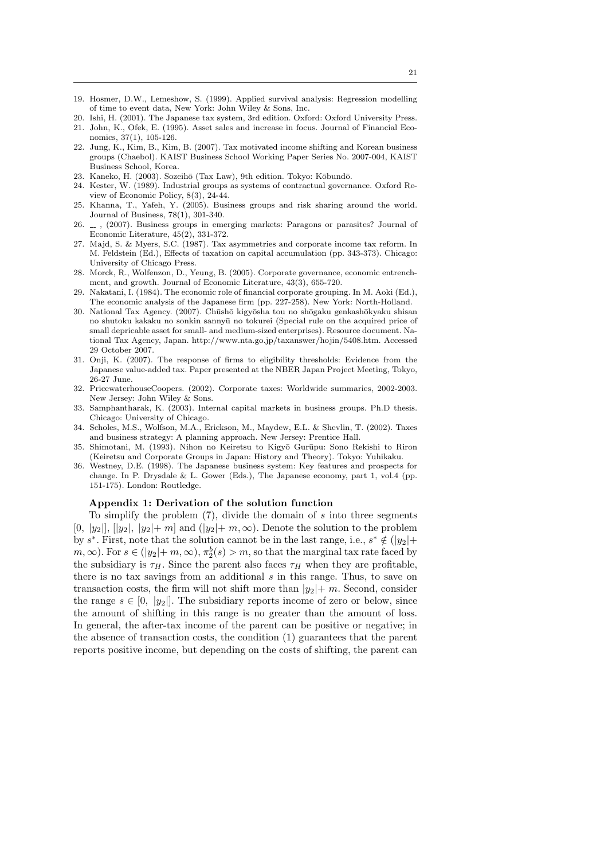- 19. Hosmer, D.W., Lemeshow, S. (1999). Applied survival analysis: Regression modelling of time to event data, New York: John Wiley & Sons, Inc.
- 20. Ishi, H. (2001). The Japanese tax system, 3rd edition. Oxford: Oxford University Press. 21. John, K., Ofek, E. (1995). Asset sales and increase in focus. Journal of Financial Eco-
- nomics, 37(1), 105-126. 22. Jung, K., Kim, B., Kim, B. (2007). Tax motivated income shifting and Korean business groups (Chaebol). KAIST Business School Working Paper Series No. 2007-004, KAIST Business School, Korea.
- 23. Kaneko, H. (2003). Sozeihō (Tax Law), 9th edition. Tokyo: Kōbundō.
- 24. Kester, W. (1989). Industrial groups as systems of contractual governance. Oxford Review of Economic Policy, 8(3), 24-44.
- 25. Khanna, T., Yafeh, Y. (2005). Business groups and risk sharing around the world. Journal of Business, 78(1), 301-340.
- 26. , (2007). Business groups in emerging markets: Paragons or parasites? Journal of Economic Literature, 45(2), 331-372.
- 27. Majd, S. & Myers, S.C. (1987). Tax asymmetries and corporate income tax reform. In M. Feldstein (Ed.), Effects of taxation on capital accumulation (pp. 343-373). Chicago: University of Chicago Press.
- 28. Morck, R., Wolfenzon, D., Yeung, B. (2005). Corporate governance, economic entrenchment, and growth. Journal of Economic Literature, 43(3), 655-720.
- Nakatani, I. (1984). The economic role of financial corporate grouping. In M. Aoki (Ed.), The economic analysis of the Japanese firm (pp. 227-258). New York: North-Holland.
- 30. National Tax Agency. (2007). Chūshō kigyōsha tou no shōgaku genkashōkyaku shisan no shutoku kakaku no sonkin sannyū no tokurei (Special rule on the acquired price of small depricable asset for small- and medium-sized enterprises). Resource document. National Tax Agency, Japan. http://www.nta.go.jp/taxanswer/hojin/5408.htm. Accessed 29 October 2007.
- 31. Onji, K. (2007). The response of firms to eligibility thresholds: Evidence from the Japanese value-added tax. Paper presented at the NBER Japan Project Meeting, Tokyo, 26-27 June.
- 32. PricewaterhouseCoopers. (2002). Corporate taxes: Worldwide summaries, 2002-2003. New Jersey: John Wiley & Sons.
- 33. Samphantharak, K. (2003). Internal capital markets in business groups. Ph.D thesis. Chicago: University of Chicago.
- 34. Scholes, M.S., Wolfson, M.A., Erickson, M., Maydew, E.L. & Shevlin, T. (2002). Taxes and business strategy: A planning approach. New Jersey: Prentice Hall.
- 35. Shimotani, M. (1993). Nihon no Keiretsu to Kigyō Gurūpu: Sono Rekishi to Riron (Keiretsu and Corporate Groups in Japan: History and Theory). Tokyo: Yuhikaku.
- 36. Westney, D.E. (1998). The Japanese business system: Key features and prospects for change. In P. Drysdale & L. Gower (Eds.), The Japanese economy, part 1, vol.4 (pp. 151-175). London: Routledge.

## Appendix 1: Derivation of the solution function

To simplify the problem  $(7)$ , divide the domain of s into three segments  $[0, |y_2|, |y_2|, |y_2|+m]$  and  $(|y_2|+m, \infty)$ . Denote the solution to the problem by s<sup>\*</sup>. First, note that the solution cannot be in the last range, i.e.,  $s^* \notin (|y_2| +$  $m, \infty$ ). For  $s \in (|y_2| + m, \infty)$ ,  $\pi_2^b(s) > m$ , so that the marginal tax rate faced by the subsidiary is  $\tau_H$ . Since the parent also faces  $\tau_H$  when they are profitable, there is no tax savings from an additional  $s$  in this range. Thus, to save on transaction costs, the firm will not shift more than  $|y_2|+m$ . Second, consider the range  $s \in [0, |y_2|]$ . The subsidiary reports income of zero or below, since the amount of shifting in this range is no greater than the amount of loss. In general, the after-tax income of the parent can be positive or negative; in the absence of transaction costs, the condition (1) guarantees that the parent reports positive income, but depending on the costs of shifting, the parent can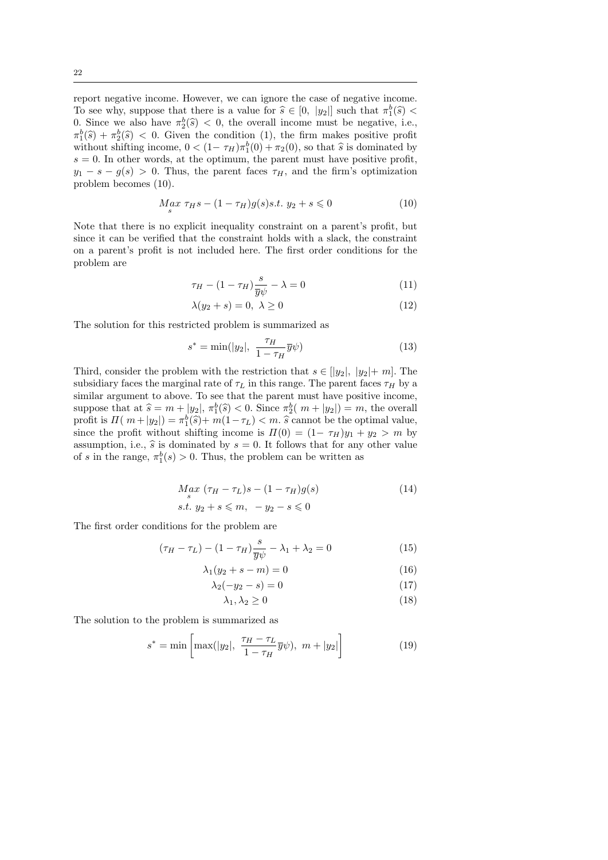report negative income. However, we can ignore the case of negative income. To see why, suppose that there is a value for  $\hat{s} \in [0, |y_2|]$  such that  $\pi_1^b(\hat{s}) < 0$ .<br>Since we also have  $\pi^b(\hat{s}) < 0$ , the overall income must be negative i.e. 0. Since we also have  $\pi_2^b(\hat{s}) < 0$ , the overall income must be negative, i.e.,  $\pi^b(\hat{s}) + \pi^b(\hat{s}) < 0$ . Given the condition (1) the firm makes positive profit  $\pi_1^b(\hat{s}) + \pi_2^b(\hat{s}) < 0$ . Given the condition (1), the firm makes positive profit without shifting income  $0 < (1 - \pi r) \pi^b(0) + \pi^c(0)$ , so that  $\hat{s}$  is dominated by without shifting income,  $0 < (1 - \tau_H)\tau_1^b(0) + \tau_2(0)$ , so that  $\hat{s}$  is dominated by  $s = 0$ . In other words, at the optimum, the parent must have positive profit  $s = 0$ . In other words, at the optimum, the parent must have positive profit,  $y_1 - s - g(s) > 0$ . Thus, the parent faces  $\tau_H$ , and the firm's optimization problem becomes (10).

$$
M_{s}ax \tau_{H}s - (1 - \tau_{H})g(s)s.t. y_{2} + s \leq 0
$$
\n(10)

Note that there is no explicit inequality constraint on a parent's profit, but since it can be verified that the constraint holds with a slack, the constraint on a parent's profit is not included here. The first order conditions for the problem are

$$
\tau_H - (1 - \tau_H) \frac{s}{\overline{y} \psi} - \lambda = 0 \tag{11}
$$

$$
\lambda(y_2 + s) = 0, \ \lambda \ge 0 \tag{12}
$$

The solution for this restricted problem is summarized as

$$
s^* = \min(|y_2|, \ \frac{\tau_H}{1 - \tau_H} \overline{y}\psi)
$$
 (13)

Third, consider the problem with the restriction that  $s \in [y_2], y_2|+m$ . The subsidiary faces the marginal rate of  $\tau_L$  in this range. The parent faces  $\tau_H$  by a similar argument to above. To see that the parent must have positive income, suppose that at  $\hat{s} = m + |y_2|$ ,  $\pi_1^b(\hat{s}) < 0$ . Since  $\pi_2^b(m + |y_2|) = m$ , the overall profit is  $\Pi(m+|y_2|) = \pi_1^b(\hat{s}) + m(1-\tau_L) < m$ .  $\hat{s}$  cannot be the optimal value,<br>since the profit without shifting income is  $\Pi(0) = (1-\tau_X)u_L + u_L > m$  by since the profit without shifting income is  $\Pi(0) = (1 - \tau_H)y_1 + y_2 > m$  by assumption, i.e.,  $\hat{s}$  is dominated by  $s = 0$ . It follows that for any other value of s in the range,  $\pi_1^b(s) > 0$ . Thus, the problem can be written as

$$
M_g x \left(\tau_H - \tau_L\right) s - (1 - \tau_H) g(s) \tag{14}
$$

$$
s.t. y_2 + s \leqslant m, -y_2 - s \leqslant 0
$$

The first order conditions for the problem are

$$
(\tau_H - \tau_L) - (1 - \tau_H) \frac{s}{\overline{y}\psi} - \lambda_1 + \lambda_2 = 0 \tag{15}
$$

$$
\lambda_1(y_2 + s - m) = 0 \tag{16}
$$

$$
\lambda_2(-y_2 - s) = 0 \tag{17}
$$

$$
\lambda_1, \lambda_2 \ge 0 \tag{18}
$$

The solution to the problem is summarized as

$$
s^* = \min\left[\max(|y_2|, \ \frac{\tau_H - \tau_L}{1 - \tau_H} \overline{y}\psi), \ m + |y_2|\right] \tag{19}
$$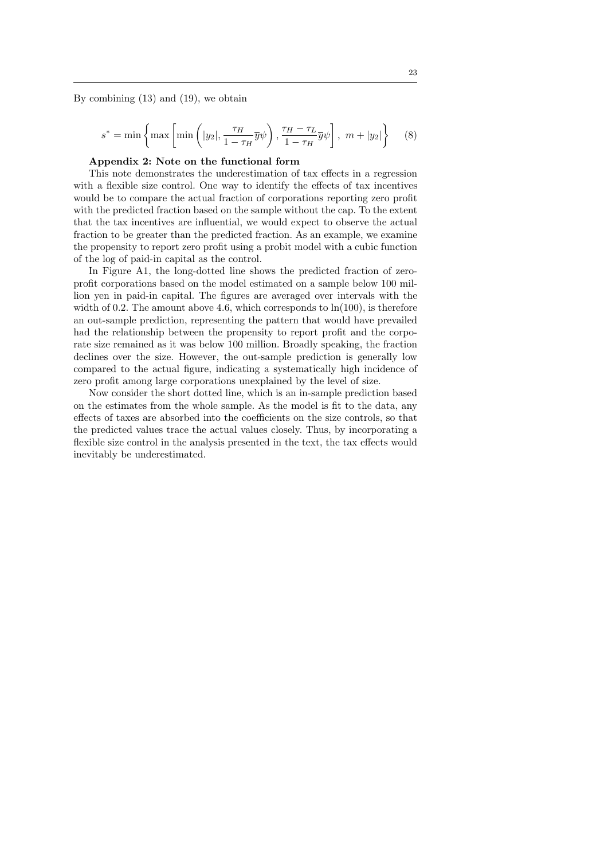By combining (13) and (19), we obtain

$$
s^* = \min\left\{\max\left[\min\left(|y_2|, \frac{\tau_H}{1 - \tau_H} \overline{y}\psi\right), \frac{\tau_H - \tau_L}{1 - \tau_H} \overline{y}\psi\right], \ m + |y_2|\right\} \tag{8}
$$

## Appendix 2: Note on the functional form

This note demonstrates the underestimation of tax effects in a regression with a flexible size control. One way to identify the effects of tax incentives would be to compare the actual fraction of corporations reporting zero profit with the predicted fraction based on the sample without the cap. To the extent that the tax incentives are influential, we would expect to observe the actual fraction to be greater than the predicted fraction. As an example, we examine the propensity to report zero profit using a probit model with a cubic function of the log of paid-in capital as the control.

In Figure A1, the long-dotted line shows the predicted fraction of zeroprofit corporations based on the model estimated on a sample below 100 million yen in paid-in capital. The figures are averaged over intervals with the width of 0.2. The amount above 4.6, which corresponds to  $\ln(100)$ , is therefore an out-sample prediction, representing the pattern that would have prevailed had the relationship between the propensity to report profit and the corporate size remained as it was below 100 million. Broadly speaking, the fraction declines over the size. However, the out-sample prediction is generally low compared to the actual figure, indicating a systematically high incidence of zero profit among large corporations unexplained by the level of size.

Now consider the short dotted line, which is an in-sample prediction based on the estimates from the whole sample. As the model is fit to the data, any effects of taxes are absorbed into the coefficients on the size controls, so that the predicted values trace the actual values closely. Thus, by incorporating a flexible size control in the analysis presented in the text, the tax effects would inevitably be underestimated.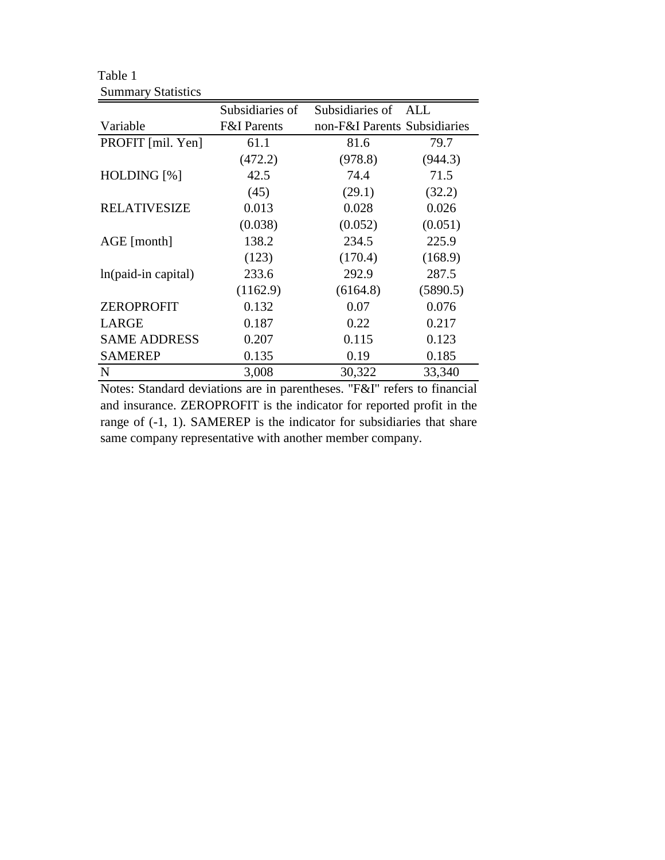|                     | Subsidiaries of        | Subsidiaries of              | ALL      |
|---------------------|------------------------|------------------------------|----------|
| Variable            | <b>F&amp;I</b> Parents | non-F&I Parents Subsidiaries |          |
| PROFIT [mil. Yen]   | 61.1                   | 81.6                         | 79.7     |
|                     | (472.2)                | (978.8)                      | (944.3)  |
| HOLDING [%]         | 42.5                   | 74.4                         | 71.5     |
|                     | (45)                   | (29.1)                       | (32.2)   |
| <b>RELATIVESIZE</b> | 0.013                  | 0.028                        | 0.026    |
|                     | (0.038)                | (0.052)                      | (0.051)  |
| AGE [month]         | 138.2                  | 234.5                        | 225.9    |
|                     | (123)                  | (170.4)                      | (168.9)  |
| ln(paid-in capital) | 233.6                  | 292.9                        | 287.5    |
|                     | (1162.9)               | (6164.8)                     | (5890.5) |
| <b>ZEROPROFIT</b>   | 0.132                  | 0.07                         | 0.076    |
| <b>LARGE</b>        | 0.187                  | 0.22                         | 0.217    |
| <b>SAME ADDRESS</b> | 0.207                  | 0.115                        | 0.123    |
| <b>SAMEREP</b>      | 0.135                  | 0.19                         | 0.185    |
| N                   | 3,008                  | 30,322                       | 33,340   |

Table 1 Summary Statistics

Notes: Standard deviations are in parentheses. "F&I" refers to financial and insurance. ZEROPROFIT is the indicator for reported profit in the range of (-1, 1). SAMEREP is the indicator for subsidiaries that share same company representative with another member company.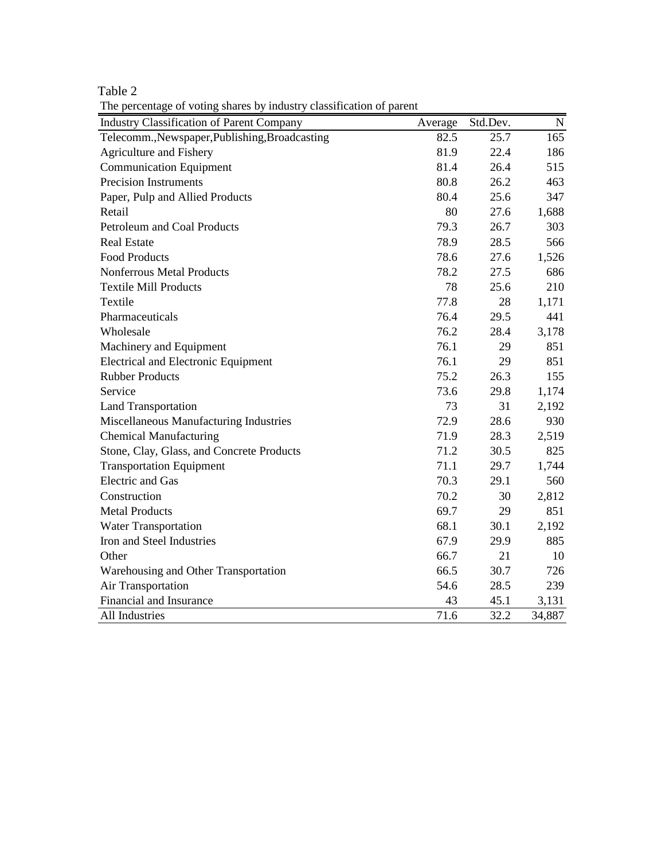Table 2

The percentage of voting shares by industry classification of parent

| <b>Industry Classification of Parent Company</b><br>Std.Dev.<br>$\mathbf N$<br>Average |
|----------------------------------------------------------------------------------------|
|                                                                                        |
| 82.5<br>25.7<br>165<br>Telecomm., Newspaper, Publishing, Broadcasting                  |
| <b>Agriculture and Fishery</b><br>81.9<br>22.4<br>186                                  |
| <b>Communication Equipment</b><br>81.4<br>26.4<br>515                                  |
| <b>Precision Instruments</b><br>80.8<br>26.2<br>463                                    |
| Paper, Pulp and Allied Products<br>80.4<br>25.6<br>347                                 |
| Retail<br>80<br>27.6<br>1,688                                                          |
| 79.3<br>303<br>Petroleum and Coal Products<br>26.7                                     |
| <b>Real Estate</b><br>78.9<br>566<br>28.5                                              |
| <b>Food Products</b><br>78.6<br>27.6<br>1,526                                          |
| Nonferrous Metal Products<br>78.2<br>27.5<br>686                                       |
| 78<br>210<br><b>Textile Mill Products</b><br>25.6                                      |
| 77.8<br>28<br>Textile<br>1,171                                                         |
| 76.4<br>29.5<br>441<br>Pharmaceuticals                                                 |
| 76.2<br>28.4<br>3,178<br>Wholesale                                                     |
| 76.1<br>29<br>851<br>Machinery and Equipment                                           |
| <b>Electrical and Electronic Equipment</b><br>76.1<br>29<br>851                        |
| <b>Rubber Products</b><br>75.2<br>26.3<br>155                                          |
| Service<br>29.8<br>73.6<br>1,174                                                       |
| 73<br>31<br><b>Land Transportation</b><br>2,192                                        |
| 28.6<br>Miscellaneous Manufacturing Industries<br>72.9<br>930                          |
| <b>Chemical Manufacturing</b><br>71.9<br>28.3<br>2,519                                 |
| Stone, Clay, Glass, and Concrete Products<br>825<br>71.2<br>30.5                       |
| 71.1<br>29.7<br>1,744<br><b>Transportation Equipment</b>                               |
| <b>Electric</b> and Gas<br>70.3<br>29.1<br>560                                         |
| Construction<br>70.2<br>30<br>2,812                                                    |
| <b>Metal Products</b><br>69.7<br>29<br>851                                             |
| 68.1<br>30.1<br>2,192<br><b>Water Transportation</b>                                   |
| Iron and Steel Industries<br>67.9<br>885<br>29.9                                       |
| Other<br>66.7<br>21<br>10                                                              |
| 66.5<br>30.7<br>726<br>Warehousing and Other Transportation                            |
| 54.6<br>28.5<br>239<br>Air Transportation                                              |
| Financial and Insurance<br>45.1<br>43<br>3,131                                         |
| 32.2<br>All Industries<br>71.6<br>34,887                                               |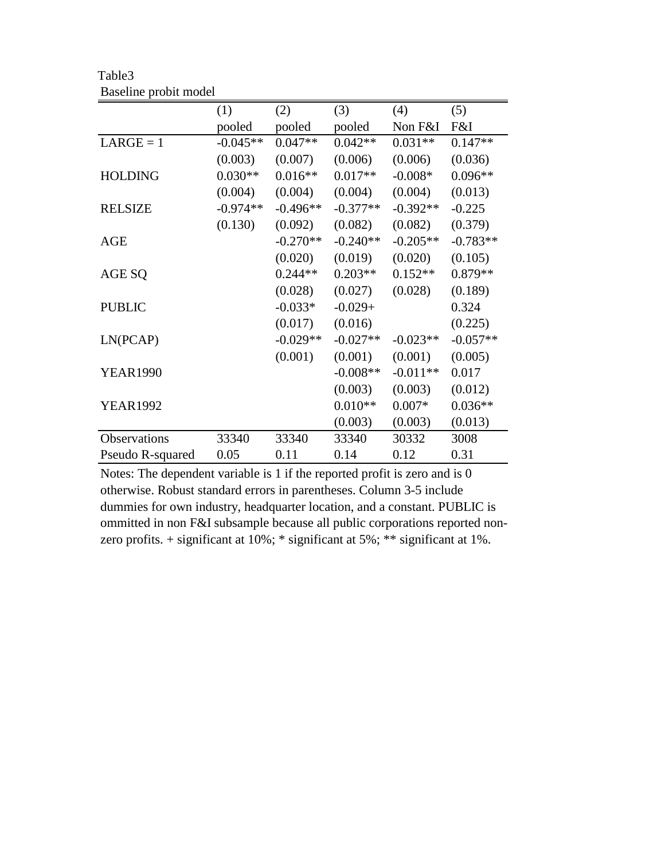|                  | (1)        | (2)        | (3)        | (4)        | (5)        |
|------------------|------------|------------|------------|------------|------------|
|                  | pooled     | pooled     | pooled     | Non F&I    | F&I        |
| $LARGE = 1$      | $-0.045**$ | $0.047**$  | $0.042**$  | $0.031**$  | $0.147**$  |
|                  | (0.003)    | (0.007)    | (0.006)    | (0.006)    | (0.036)    |
| <b>HOLDING</b>   | $0.030**$  | $0.016**$  | $0.017**$  | $-0.008*$  | $0.096**$  |
|                  | (0.004)    | (0.004)    | (0.004)    | (0.004)    | (0.013)    |
| <b>RELSIZE</b>   | $-0.974**$ | $-0.496**$ | $-0.377**$ | $-0.392**$ | $-0.225$   |
|                  | (0.130)    | (0.092)    | (0.082)    | (0.082)    | (0.379)    |
| <b>AGE</b>       |            | $-0.270**$ | $-0.240**$ | $-0.205**$ | $-0.783**$ |
|                  |            | (0.020)    | (0.019)    | (0.020)    | (0.105)    |
| AGE SQ           |            | $0.244**$  | $0.203**$  | $0.152**$  | $0.879**$  |
|                  |            | (0.028)    | (0.027)    | (0.028)    | (0.189)    |
| <b>PUBLIC</b>    |            | $-0.033*$  | $-0.029+$  |            | 0.324      |
|                  |            | (0.017)    | (0.016)    |            | (0.225)    |
| LN(PCAP)         |            | $-0.029**$ | $-0.027**$ | $-0.023**$ | $-0.057**$ |
|                  |            | (0.001)    | (0.001)    | (0.001)    | (0.005)    |
| <b>YEAR1990</b>  |            |            | $-0.008**$ | $-0.011**$ | 0.017      |
|                  |            |            | (0.003)    | (0.003)    | (0.012)    |
| <b>YEAR1992</b>  |            |            | $0.010**$  | $0.007*$   | $0.036**$  |
|                  |            |            | (0.003)    | (0.003)    | (0.013)    |
| Observations     | 33340      | 33340      | 33340      | 30332      | 3008       |
| Pseudo R-squared | 0.05       | 0.11       | 0.14       | 0.12       | 0.31       |

Table3 Baseline probit model

Notes: The dependent variable is 1 if the reported profit is zero and is 0 otherwise. Robust standard errors in parentheses. Column 3-5 include dummies for own industry, headquarter location, and a constant. PUBLIC is ommitted in non F&I subsample because all public corporations reported nonzero profits. + significant at 10%; \* significant at 5%; \*\* significant at 1%.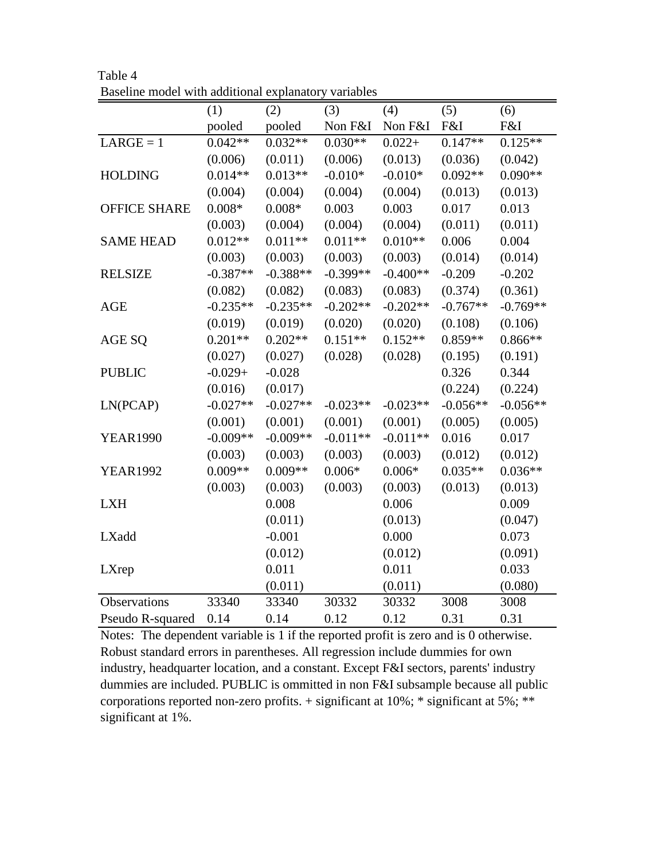|                     | (1)        | (2)        | (3)        | (4)        | (5)        | (6)        |
|---------------------|------------|------------|------------|------------|------------|------------|
|                     | pooled     | pooled     | Non F&I    | Non F&I    | F&I        | F&I        |
| $LARGE = 1$         | $0.042**$  | $0.032**$  | $0.030**$  | $0.022 +$  | $0.147**$  | $0.125**$  |
|                     | (0.006)    | (0.011)    | (0.006)    | (0.013)    | (0.036)    | (0.042)    |
| <b>HOLDING</b>      | $0.014**$  | $0.013**$  | $-0.010*$  | $-0.010*$  | $0.092**$  | $0.090**$  |
|                     | (0.004)    | (0.004)    | (0.004)    | (0.004)    | (0.013)    | (0.013)    |
| <b>OFFICE SHARE</b> | $0.008*$   | $0.008*$   | 0.003      | 0.003      | 0.017      | 0.013      |
|                     | (0.003)    | (0.004)    | (0.004)    | (0.004)    | (0.011)    | (0.011)    |
| <b>SAME HEAD</b>    | $0.012**$  | $0.011**$  | $0.011**$  | $0.010**$  | 0.006      | 0.004      |
|                     | (0.003)    | (0.003)    | (0.003)    | (0.003)    | (0.014)    | (0.014)    |
| <b>RELSIZE</b>      | $-0.387**$ | $-0.388**$ | $-0.399**$ | $-0.400**$ | $-0.209$   | $-0.202$   |
|                     | (0.082)    | (0.082)    | (0.083)    | (0.083)    | (0.374)    | (0.361)    |
| <b>AGE</b>          | $-0.235**$ | $-0.235**$ | $-0.202**$ | $-0.202**$ | $-0.767**$ | $-0.769**$ |
|                     | (0.019)    | (0.019)    | (0.020)    | (0.020)    | (0.108)    | (0.106)    |
| AGE SQ              | $0.201**$  | $0.202**$  | $0.151**$  | $0.152**$  | $0.859**$  | $0.866**$  |
|                     | (0.027)    | (0.027)    | (0.028)    | (0.028)    | (0.195)    | (0.191)    |
| <b>PUBLIC</b>       | $-0.029+$  | $-0.028$   |            |            | 0.326      | 0.344      |
|                     | (0.016)    | (0.017)    |            |            | (0.224)    | (0.224)    |
| LN(PCAP)            | $-0.027**$ | $-0.027**$ | $-0.023**$ | $-0.023**$ | $-0.056**$ | $-0.056**$ |
|                     | (0.001)    | (0.001)    | (0.001)    | (0.001)    | (0.005)    | (0.005)    |
| <b>YEAR1990</b>     | $-0.009**$ | $-0.009**$ | $-0.011**$ | $-0.011**$ | 0.016      | 0.017      |
|                     | (0.003)    | (0.003)    | (0.003)    | (0.003)    | (0.012)    | (0.012)    |
| <b>YEAR1992</b>     | $0.009**$  | $0.009**$  | $0.006*$   | $0.006*$   | $0.035**$  | $0.036**$  |
|                     | (0.003)    | (0.003)    | (0.003)    | (0.003)    | (0.013)    | (0.013)    |
| <b>LXH</b>          |            | 0.008      |            | 0.006      |            | 0.009      |
|                     |            | (0.011)    |            | (0.013)    |            | (0.047)    |
| LXadd               |            | $-0.001$   |            | 0.000      |            | 0.073      |
|                     |            | (0.012)    |            | (0.012)    |            | (0.091)    |
| LXrep               |            | 0.011      |            | 0.011      |            | 0.033      |
|                     |            | (0.011)    |            | (0.011)    |            | (0.080)    |
| Observations        | 33340      | 33340      | 30332      | 30332      | 3008       | 3008       |
| Pseudo R-squared    | 0.14       | 0.14       | 0.12       | 0.12       | 0.31       | 0.31       |

Table 4 Baseline model with additional explanatory variables

Notes: The dependent variable is 1 if the reported profit is zero and is 0 otherwise. Robust standard errors in parentheses. All regression include dummies for own industry, headquarter location, and a constant. Except F&I sectors, parents' industry dummies are included. PUBLIC is ommitted in non F&I subsample because all public corporations reported non-zero profits. + significant at 10%; \* significant at 5%; \*\* significant at 1%.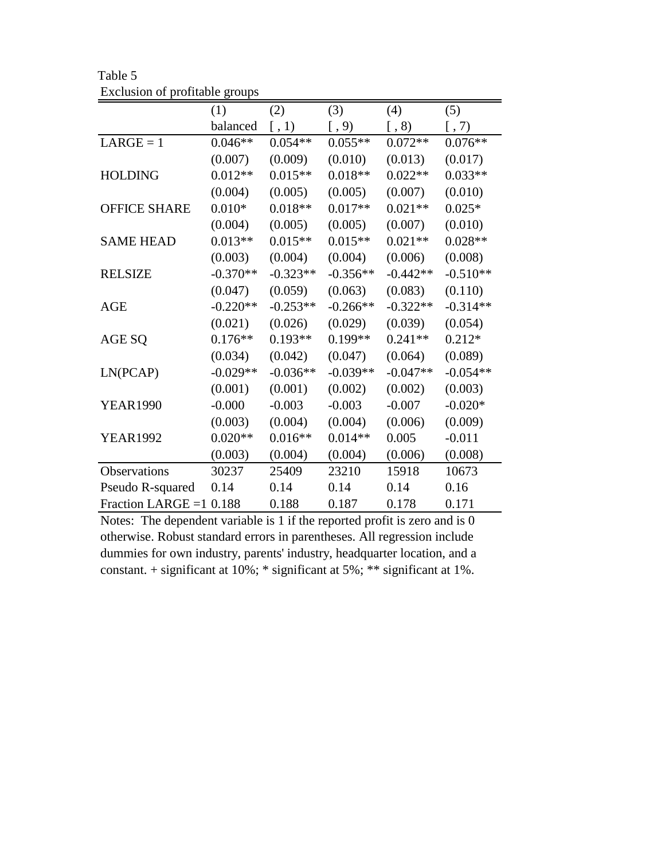|                     | (1)        | (2)                     | (3)        | (4)        | (5)                |
|---------------------|------------|-------------------------|------------|------------|--------------------|
|                     | balanced   | $\left[ \, , 1 \right)$ | $[ , 9)$   | $[ , 8)$   | $\left[ ,7\right)$ |
| $LARGE = 1$         | $0.046**$  | $0.054**$               | $0.055**$  | $0.072**$  | $0.076**$          |
|                     | (0.007)    | (0.009)                 | (0.010)    | (0.013)    | (0.017)            |
| <b>HOLDING</b>      | $0.012**$  | $0.015**$               | $0.018**$  | $0.022**$  | $0.033**$          |
|                     | (0.004)    | (0.005)                 | (0.005)    | (0.007)    | (0.010)            |
| <b>OFFICE SHARE</b> | $0.010*$   | $0.018**$               | $0.017**$  | $0.021**$  | $0.025*$           |
|                     | (0.004)    | (0.005)                 | (0.005)    | (0.007)    | (0.010)            |
| <b>SAME HEAD</b>    | $0.013**$  | $0.015**$               | $0.015**$  | $0.021**$  | $0.028**$          |
|                     | (0.003)    | (0.004)                 | (0.004)    | (0.006)    | (0.008)            |
| <b>RELSIZE</b>      | $-0.370**$ | $-0.323**$              | $-0.356**$ | $-0.442**$ | $-0.510**$         |
|                     | (0.047)    | (0.059)                 | (0.063)    | (0.083)    | (0.110)            |
| <b>AGE</b>          | $-0.220**$ | $-0.253**$              | $-0.266**$ | $-0.322**$ | $-0.314**$         |
|                     | (0.021)    | (0.026)                 | (0.029)    | (0.039)    | (0.054)            |
| AGE SQ              | $0.176**$  | $0.193**$               | $0.199**$  | $0.241**$  | $0.212*$           |
|                     | (0.034)    | (0.042)                 | (0.047)    | (0.064)    | (0.089)            |
| LN(PCAP)            | $-0.029**$ | $-0.036**$              | $-0.039**$ | $-0.047**$ | $-0.054**$         |
|                     | (0.001)    | (0.001)                 | (0.002)    | (0.002)    | (0.003)            |
| <b>YEAR1990</b>     | $-0.000$   | $-0.003$                | $-0.003$   | $-0.007$   | $-0.020*$          |
|                     | (0.003)    | (0.004)                 | (0.004)    | (0.006)    | (0.009)            |
| <b>YEAR1992</b>     | $0.020**$  | $0.016**$               | $0.014**$  | 0.005      | $-0.011$           |
|                     | (0.003)    | (0.004)                 | (0.004)    | (0.006)    | (0.008)            |
| Observations        | 30237      | 25409                   | 23210      | 15918      | 10673              |
| Pseudo R-squared    | 0.14       | 0.14                    | 0.14       | 0.14       | 0.16               |
| Fraction LARGE $=1$ | 0.188      | 0.188                   | 0.187      | 0.178      | 0.171              |

Table 5 Exclusion of profitable groups

Notes: The dependent variable is 1 if the reported profit is zero and is 0 otherwise. Robust standard errors in parentheses. All regression include dummies for own industry, parents' industry, headquarter location, and a constant. + significant at 10%; \* significant at 5%; \*\* significant at 1%.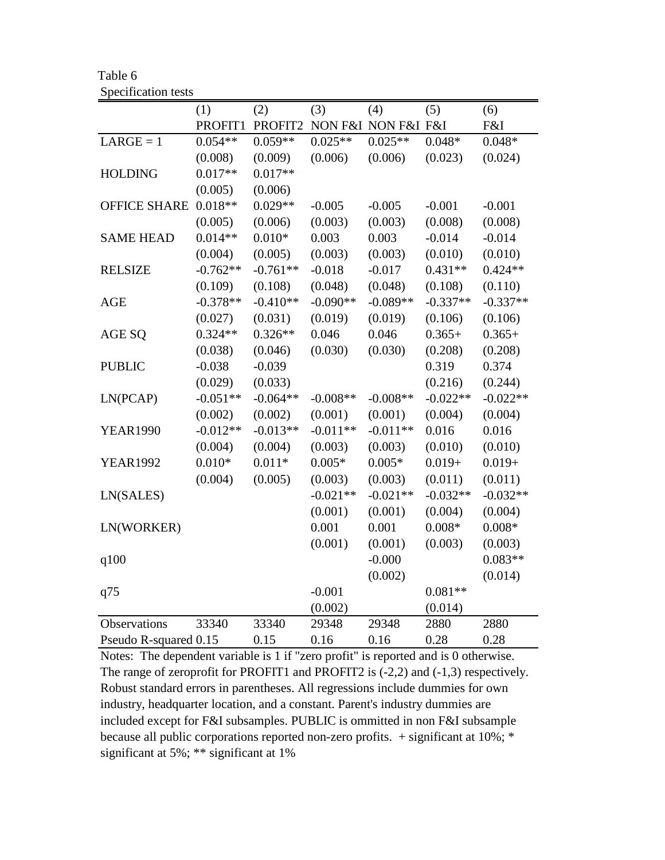| Table 6             |  |
|---------------------|--|
| Specification tests |  |

|                       | (1)        | (2)        | (3)        | (4)                 | (5)        | (6)        |
|-----------------------|------------|------------|------------|---------------------|------------|------------|
|                       | PROFIT1    | PROFIT2    |            | NON F&I NON F&I F&I |            | F&I        |
| $LARGE = 1$           | $0.054**$  | $0.059**$  | $0.025**$  | $0.025**$           | $0.048*$   | $0.048*$   |
|                       | (0.008)    | (0.009)    | (0.006)    | (0.006)             | (0.023)    | (0.024)    |
| <b>HOLDING</b>        | $0.017**$  | $0.017**$  |            |                     |            |            |
|                       | (0.005)    | (0.006)    |            |                     |            |            |
| <b>OFFICE SHARE</b>   | $0.018**$  | $0.029**$  | $-0.005$   | $-0.005$            | $-0.001$   | $-0.001$   |
|                       | (0.005)    | (0.006)    | (0.003)    | (0.003)             | (0.008)    | (0.008)    |
| <b>SAME HEAD</b>      | $0.014**$  | $0.010*$   | 0.003      | 0.003               | $-0.014$   | $-0.014$   |
|                       | (0.004)    | (0.005)    | (0.003)    | (0.003)             | (0.010)    | (0.010)    |
| <b>RELSIZE</b>        | $-0.762**$ | $-0.761**$ | $-0.018$   | $-0.017$            | $0.431**$  | $0.424**$  |
|                       | (0.109)    | (0.108)    | (0.048)    | (0.048)             | (0.108)    | (0.110)    |
| <b>AGE</b>            | $-0.378**$ | $-0.410**$ | $-0.090**$ | $-0.089**$          | $-0.337**$ | $-0.337**$ |
|                       | (0.027)    | (0.031)    | (0.019)    | (0.019)             | (0.106)    | (0.106)    |
| AGE SQ                | $0.324**$  | $0.326**$  | 0.046      | 0.046               | $0.365+$   | $0.365+$   |
|                       | (0.038)    | (0.046)    | (0.030)    | (0.030)             | (0.208)    | (0.208)    |
| <b>PUBLIC</b>         | $-0.038$   | $-0.039$   |            |                     | 0.319      | 0.374      |
|                       | (0.029)    | (0.033)    |            |                     | (0.216)    | (0.244)    |
| LN(PCAP)              | $-0.051**$ | $-0.064**$ | $-0.008**$ | $-0.008**$          | $-0.022**$ | $-0.022**$ |
|                       | (0.002)    | (0.002)    | (0.001)    | (0.001)             | (0.004)    | (0.004)    |
| <b>YEAR1990</b>       | $-0.012**$ | $-0.013**$ | $-0.011**$ | $-0.011**$          | 0.016      | 0.016      |
|                       | (0.004)    | (0.004)    | (0.003)    | (0.003)             | (0.010)    | (0.010)    |
| <b>YEAR1992</b>       | $0.010*$   | $0.011*$   | $0.005*$   | $0.005*$            | $0.019 +$  | $0.019 +$  |
|                       | (0.004)    | (0.005)    | (0.003)    | (0.003)             | (0.011)    | (0.011)    |
| LN(SALES)             |            |            | $-0.021**$ | $-0.021**$          | $-0.032**$ | $-0.032**$ |
|                       |            |            | (0.001)    | (0.001)             | (0.004)    | (0.004)    |
| LN(WORKER)            |            |            | 0.001      | 0.001               | $0.008*$   | $0.008*$   |
|                       |            |            | (0.001)    | (0.001)             | (0.003)    | (0.003)    |
| q100                  |            |            |            | $-0.000$            |            | $0.083**$  |
|                       |            |            |            | (0.002)             |            | (0.014)    |
| q75                   |            |            | $-0.001$   |                     | $0.081**$  |            |
|                       |            |            | (0.002)    |                     | (0.014)    |            |
| Observations          | 33340      | 33340      | 29348      | 29348               | 2880       | 2880       |
| Pseudo R-squared 0.15 |            | 0.15       | 0.16       | 0.16                | 0.28       | 0.28       |

Notes: The dependent variable is 1 if "zero profit" is reported and is 0 otherwise. The range of zeroprofit for PROFIT1 and PROFIT2 is (-2,2) and (-1,3) respectively. Robust standard errors in parentheses. All regressions include dummies for own industry, headquarter location, and a constant. Parent's industry dummies are included except for F&I subsamples. PUBLIC is ommitted in non F&I subsample because all public corporations reported non-zero profits. + significant at 10%; \* significant at 5%; \*\* significant at 1%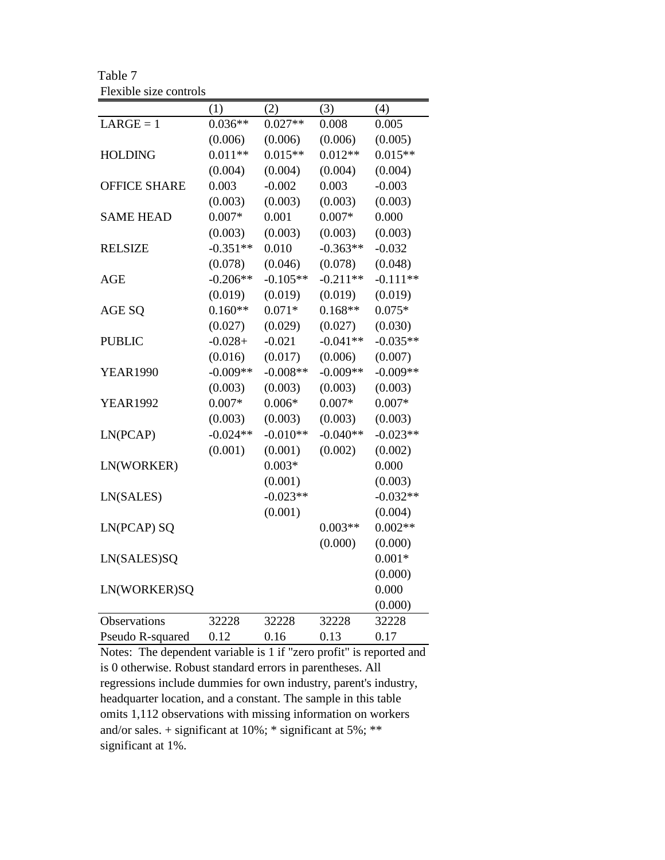Table 7 Flexible size controls

|                     | (1)        | (2)        | (3)        | (4)        |
|---------------------|------------|------------|------------|------------|
| $LARGE = 1$         | $0.036**$  | $0.027**$  | 0.008      | 0.005      |
|                     | (0.006)    | (0.006)    | (0.006)    | (0.005)    |
| <b>HOLDING</b>      | $0.011**$  | $0.015**$  | $0.012**$  | $0.015**$  |
|                     | (0.004)    | (0.004)    | (0.004)    | (0.004)    |
| <b>OFFICE SHARE</b> | 0.003      | $-0.002$   | 0.003      | $-0.003$   |
|                     | (0.003)    | (0.003)    | (0.003)    | (0.003)    |
| <b>SAME HEAD</b>    | $0.007*$   | 0.001      | $0.007*$   | 0.000      |
|                     | (0.003)    | (0.003)    | (0.003)    | (0.003)    |
| <b>RELSIZE</b>      | $-0.351**$ | 0.010      | $-0.363**$ | $-0.032$   |
|                     | (0.078)    | (0.046)    | (0.078)    | (0.048)    |
| <b>AGE</b>          | $-0.206**$ | $-0.105**$ | $-0.211**$ | $-0.111**$ |
|                     | (0.019)    | (0.019)    | (0.019)    | (0.019)    |
| AGE SQ              | $0.160**$  | $0.071*$   | $0.168**$  | $0.075*$   |
|                     | (0.027)    | (0.029)    | (0.027)    | (0.030)    |
| <b>PUBLIC</b>       | $-0.028+$  | $-0.021$   | $-0.041**$ | $-0.035**$ |
|                     | (0.016)    | (0.017)    | (0.006)    | (0.007)    |
| <b>YEAR1990</b>     | $-0.009**$ | $-0.008**$ | $-0.009**$ | $-0.009**$ |
|                     | (0.003)    | (0.003)    | (0.003)    | (0.003)    |
| <b>YEAR1992</b>     | $0.007*$   | $0.006*$   | $0.007*$   | $0.007*$   |
|                     | (0.003)    | (0.003)    | (0.003)    | (0.003)    |
| LN(PCAP)            | $-0.024**$ | $-0.010**$ | $-0.040**$ | $-0.023**$ |
|                     | (0.001)    | (0.001)    | (0.002)    | (0.002)    |
| LN(WORKER)          |            | $0.003*$   |            | 0.000      |
|                     |            | (0.001)    |            | (0.003)    |
| LN(SALES)           |            | $-0.023**$ |            | $-0.032**$ |
|                     |            | (0.001)    |            | (0.004)    |
| LN(PCAP) SQ         |            |            | $0.003**$  | $0.002**$  |
|                     |            |            | (0.000)    | (0.000)    |
| LN(SALES)SQ         |            |            |            | $0.001*$   |
|                     |            |            |            | (0.000)    |
| LN(WORKER)SQ        |            |            |            | 0.000      |
|                     |            |            |            | (0.000)    |
| Observations        | 32228      | 32228      | 32228      | 32228      |
| Pseudo R-squared    | 0.12       | 0.16       | 0.13       | 0.17       |

Notes: The dependent variable is 1 if "zero profit" is reported and is 0 otherwise. Robust standard errors in parentheses. All regressions include dummies for own industry, parent's industry, headquarter location, and a constant. The sample in this table omits 1,112 observations with missing information on workers and/or sales.  $+$  significant at 10%;  $*$  significant at 5%;  $**$ significant at 1%.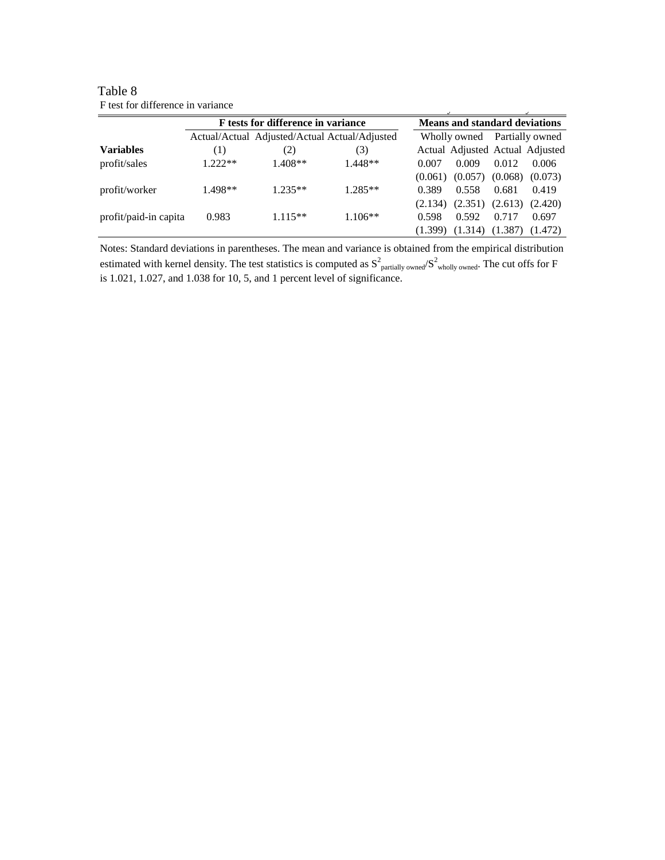| F test for difference in variance |                                    |                                               |           |         |                                         |       |                                 |  |
|-----------------------------------|------------------------------------|-----------------------------------------------|-----------|---------|-----------------------------------------|-------|---------------------------------|--|
|                                   | F tests for difference in variance |                                               |           |         | <b>Means and standard deviations</b>    |       |                                 |  |
|                                   |                                    | Actual/Actual Adjusted/Actual Actual/Adjusted |           |         | Wholly owned Partially owned            |       |                                 |  |
| <b>Variables</b>                  | $\left(1\right)$                   | (2)                                           | (3)       |         |                                         |       | Actual Adjusted Actual Adjusted |  |
| profit/sales                      | $1.222**$                          | $1.408**$                                     | $1.448**$ | 0.007   | 0.009                                   | 0.012 | 0.006                           |  |
|                                   |                                    |                                               |           | (0.061) |                                         |       | $(0.057)$ $(0.068)$ $(0.073)$   |  |
| profit/worker                     | $1.498**$                          | $1.235**$                                     | $1.285**$ | 0.389   | 0.558                                   | 0.681 | 0.419                           |  |
|                                   |                                    |                                               |           |         | $(2.134)$ $(2.351)$ $(2.613)$ $(2.420)$ |       |                                 |  |
| profit/paid-in capita             | 0.983                              | $1.115**$                                     | $1.106**$ | 0.598   | 0.592                                   | 0.717 | 0.697                           |  |
|                                   |                                    |                                               |           | (1.399) | $(1.314)$ $(1.387)$                     |       | (1.472)                         |  |

Table 8 F test for difference in variance

Notes: Standard deviations in parentheses. The mean and variance is obtained from the empirical distribution estimated with kernel density. The test statistics is computed as  $S^2$  partially owned/ $S^2$  wholly owned. The cut offs for F is 1.021, 1.027, and 1.038 for 10, 5, and 1 percent level of significance.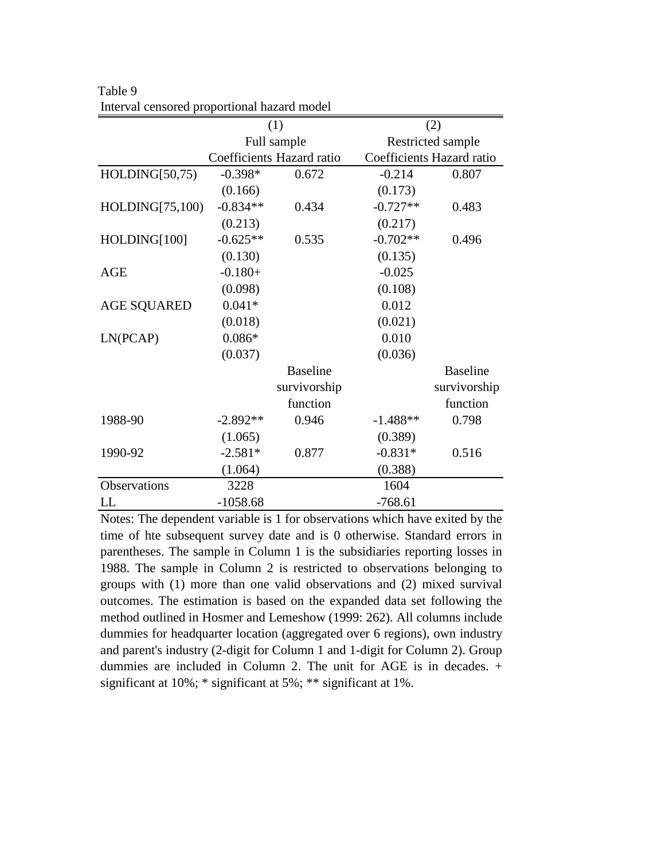|                    |            | (1)                       |            | (2)                       |  |  |
|--------------------|------------|---------------------------|------------|---------------------------|--|--|
|                    |            | Full sample               |            | Restricted sample         |  |  |
|                    |            | Coefficients Hazard ratio |            | Coefficients Hazard ratio |  |  |
| HOLDING[50,75)     | $-0.398*$  | 0.672                     | $-0.214$   | 0.807                     |  |  |
|                    | (0.166)    |                           | (0.173)    |                           |  |  |
| HOLDING[75,100)    | $-0.834**$ | 0.434                     | $-0.727**$ | 0.483                     |  |  |
|                    | (0.213)    |                           | (0.217)    |                           |  |  |
| HOLDING[100]       | $-0.625**$ | 0.535                     | $-0.702**$ | 0.496                     |  |  |
|                    | (0.130)    |                           | (0.135)    |                           |  |  |
| <b>AGE</b>         | $-0.180+$  |                           | $-0.025$   |                           |  |  |
|                    | (0.098)    |                           | (0.108)    |                           |  |  |
| <b>AGE SQUARED</b> | $0.041*$   |                           | 0.012      |                           |  |  |
|                    | (0.018)    |                           | (0.021)    |                           |  |  |
| LN(PCAP)           | $0.086*$   |                           | 0.010      |                           |  |  |
|                    | (0.037)    |                           | (0.036)    |                           |  |  |
|                    |            | <b>Baseline</b>           |            | <b>Baseline</b>           |  |  |
|                    |            | survivorship              |            | survivorship              |  |  |
|                    |            | function                  |            | function                  |  |  |
| 1988-90            | $-2.892**$ | 0.946                     | $-1.488**$ | 0.798                     |  |  |
|                    | (1.065)    |                           | (0.389)    |                           |  |  |
| 1990-92            | $-2.581*$  | 0.877                     | $-0.831*$  | 0.516                     |  |  |
|                    | (1.064)    |                           | (0.388)    |                           |  |  |
| Observations       | 3228       |                           | 1604       |                           |  |  |
| LL                 | $-1058.68$ |                           | $-768.61$  |                           |  |  |

Table 9 Interval censored proportional hazard model

Notes: The dependent variable is 1 for observations which have exited by the time of hte subsequent survey date and is 0 otherwise. Standard errors in parentheses. The sample in Column 1 is the subsidiaries reporting losses in 1988. The sample in Column 2 is restricted to observations belonging to groups with (1) more than one valid observations and (2) mixed survival outcomes. The estimation is based on the expanded data set following the method outlined in Hosmer and Lemeshow (1999: 262). All columns include dummies for headquarter location (aggregated over 6 regions), own industry and parent's industry (2-digit for Column 1 and 1-digit for Column 2). Group dummies are included in Column 2. The unit for AGE is in decades. + significant at 10%; \* significant at 5%; \*\* significant at 1%.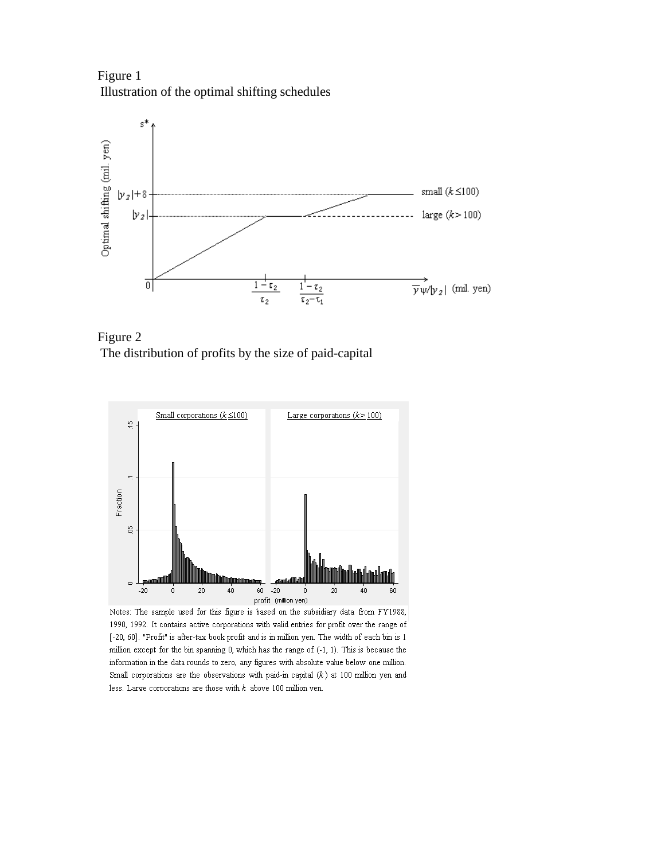Figure 1 Illustration of the optimal shifting schedules



Figure 2 The distribution of profits by the size of paid-capital



Notes: The sample used for this figure is based on the subsidiary data from FY1988, 1990, 1992. It contains active corporations with valid entries for profit over the range of [-20, 60]. "Profit" is after-tax book profit and is in million yen. The width of each bin is 1 million except for the bin spanning 0, which has the range of (-1, 1). This is because the information in the data rounds to zero, any figures with absolute value below one million. Small corporations are the observations with paid-in capital  $(k)$  at 100 million yen and less. Large corporations are those with  $k$  above 100 million ven.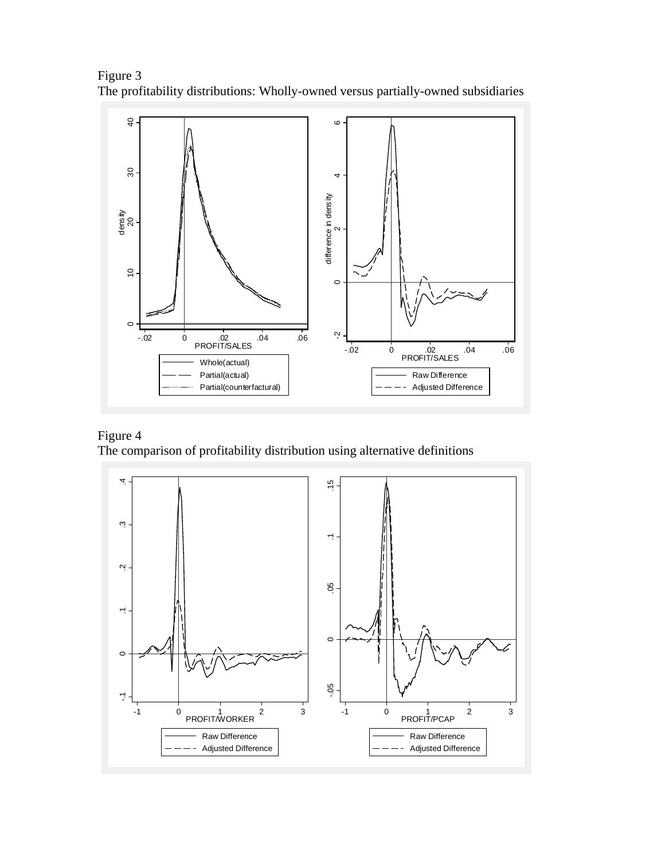Figure 3 The profitability distributions: Wholly-owned versus partially-owned subsidiaries



# Figure 4

The comparison of profitability distribution using alternative definitions